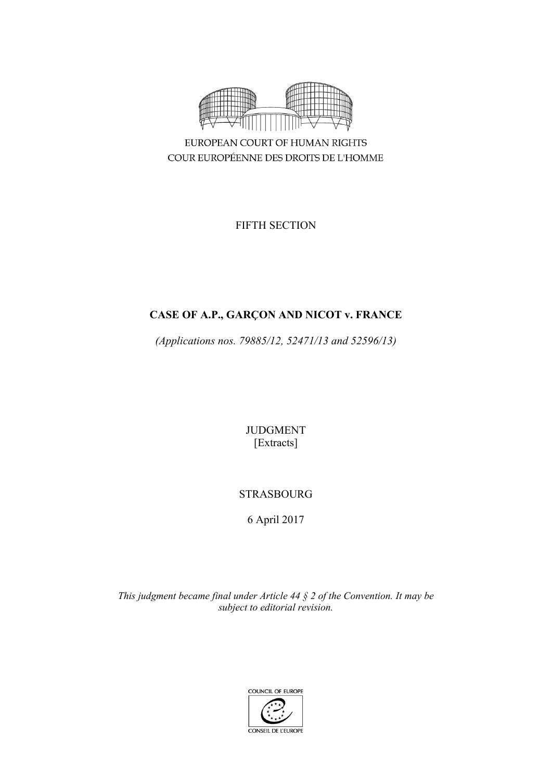

COUR EUROPÉENNE DES DROITS DE L'HOMME

FIFTH SECTION

# **CASE OF A.P., GARÇON AND NICOT v. FRANCE**

*(Applications nos. 79885/12, 52471/13 and 52596/13)*

JUDGMENT [Extracts]

# STRASBOURG

6 April 2017

*This judgment became final under Article 44 § 2 of the Convention. It may be subject to editorial revision.*

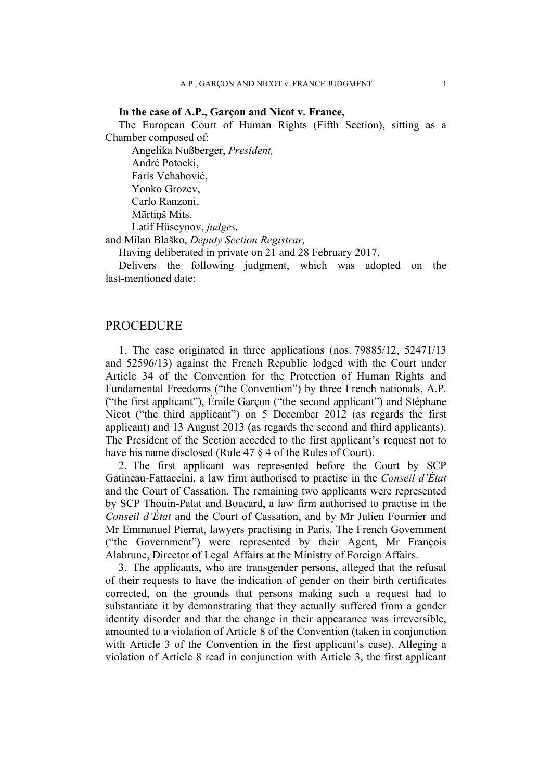## **In the case of A.P., Garçon and Nicot v. France,**

The European Court of Human Rights (Fifth Section), sitting as a Chamber composed of:

Angelika Nußberger, *President,* André Potocki, Faris Vehabović, Yonko Grozev, Carlo Ranzoni, Mārtiņš Mits, Lәtif Hüseynov, *judges,*

and Milan Blaško, *Deputy Section Registrar,*

Having deliberated in private on 21 and 28 February 2017,

Delivers the following judgment, which was adopted on the last-mentioned date:

## PROCEDURE

1. The case originated in three applications (nos. 79885/12, 52471/13 and 52596/13) against the French Republic lodged with the Court under Article 34 of the Convention for the Protection of Human Rights and Fundamental Freedoms ("the Convention") by three French nationals, A.P. ("the first applicant"), Émile Garçon ("the second applicant") and Stéphane Nicot ("the third applicant") on 5 December 2012 (as regards the first applicant) and 13 August 2013 (as regards the second and third applicants). The President of the Section acceded to the first applicant's request not to have his name disclosed (Rule 47 § 4 of the Rules of Court).

2. The first applicant was represented before the Court by SCP Gatineau-Fattaccini, a law firm authorised to practise in the *Conseil d'État* and the Court of Cassation. The remaining two applicants were represented by SCP Thouin-Palat and Boucard, a law firm authorised to practise in the *Conseil d'État* and the Court of Cassation, and by Mr Julien Fournier and Mr Emmanuel Pierrat, lawyers practising in Paris. The French Government ("the Government") were represented by their Agent, Mr François Alabrune, Director of Legal Affairs at the Ministry of Foreign Affairs.

3. The applicants, who are transgender persons, alleged that the refusal of their requests to have the indication of gender on their birth certificates corrected, on the grounds that persons making such a request had to substantiate it by demonstrating that they actually suffered from a gender identity disorder and that the change in their appearance was irreversible, amounted to a violation of Article 8 of the Convention (taken in conjunction with Article 3 of the Convention in the first applicant's case). Alleging a violation of Article 8 read in conjunction with Article 3, the first applicant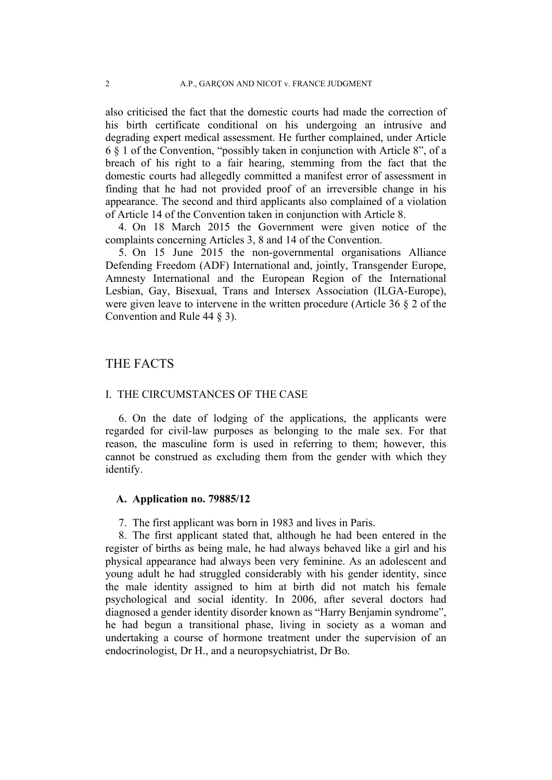also criticised the fact that the domestic courts had made the correction of his birth certificate conditional on his undergoing an intrusive and degrading expert medical assessment. He further complained, under Article 6 § 1 of the Convention, "possibly taken in conjunction with Article 8", of a breach of his right to a fair hearing, stemming from the fact that the domestic courts had allegedly committed a manifest error of assessment in finding that he had not provided proof of an irreversible change in his appearance. The second and third applicants also complained of a violation of Article 14 of the Convention taken in conjunction with Article 8.

4. On 18 March 2015 the Government were given notice of the complaints concerning Articles 3, 8 and 14 of the Convention.

5. On 15 June 2015 the non-governmental organisations Alliance Defending Freedom (ADF) International and, jointly, Transgender Europe, Amnesty International and the European Region of the International Lesbian, Gay, Bisexual, Trans and Intersex Association (ILGA-Europe), were given leave to intervene in the written procedure (Article 36 § 2 of the Convention and Rule 44 § 3).

# THE FACTS

### I. THE CIRCUMSTANCES OF THE CASE

6. On the date of lodging of the applications, the applicants were regarded for civil-law purposes as belonging to the male sex. For that reason, the masculine form is used in referring to them; however, this cannot be construed as excluding them from the gender with which they identify.

## **A. Application no. 79885/12**

7. The first applicant was born in 1983 and lives in Paris.

8. The first applicant stated that, although he had been entered in the register of births as being male, he had always behaved like a girl and his physical appearance had always been very feminine. As an adolescent and young adult he had struggled considerably with his gender identity, since the male identity assigned to him at birth did not match his female psychological and social identity. In 2006, after several doctors had diagnosed a gender identity disorder known as "Harry Benjamin syndrome", he had begun a transitional phase, living in society as a woman and undertaking a course of hormone treatment under the supervision of an endocrinologist, Dr H., and a neuropsychiatrist, Dr Bo.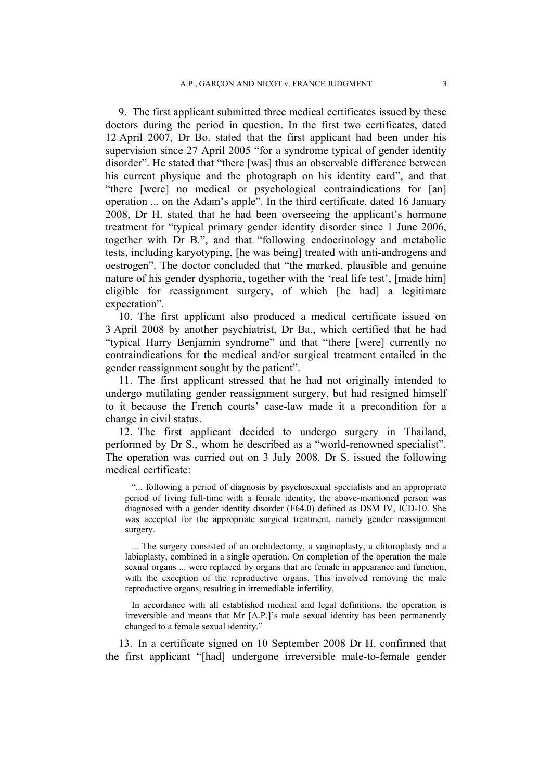9. The first applicant submitted three medical certificates issued by these doctors during the period in question. In the first two certificates, dated 12 April 2007, Dr Bo. stated that the first applicant had been under his supervision since 27 April 2005 "for a syndrome typical of gender identity disorder". He stated that "there [was] thus an observable difference between his current physique and the photograph on his identity card", and that "there [were] no medical or psychological contraindications for [an] operation ... on the Adam's apple". In the third certificate, dated 16 January 2008, Dr H. stated that he had been overseeing the applicant's hormone treatment for "typical primary gender identity disorder since 1 June 2006, together with Dr B.", and that "following endocrinology and metabolic tests, including karyotyping, [he was being] treated with anti-androgens and oestrogen". The doctor concluded that "the marked, plausible and genuine nature of his gender dysphoria, together with the 'real life test', [made him] eligible for reassignment surgery, of which [he had] a legitimate expectation".

10. The first applicant also produced a medical certificate issued on 3 April 2008 by another psychiatrist, Dr Ba., which certified that he had "typical Harry Benjamin syndrome" and that "there [were] currently no contraindications for the medical and/or surgical treatment entailed in the gender reassignment sought by the patient".

11. The first applicant stressed that he had not originally intended to undergo mutilating gender reassignment surgery, but had resigned himself to it because the French courts' case-law made it a precondition for a change in civil status.

12. The first applicant decided to undergo surgery in Thailand, performed by Dr S., whom he described as a "world-renowned specialist". The operation was carried out on 3 July 2008. Dr S. issued the following medical certificate:

"... following a period of diagnosis by psychosexual specialists and an appropriate period of living full-time with a female identity, the above-mentioned person was diagnosed with a gender identity disorder (F64.0) defined as DSM IV, ICD-10. She was accepted for the appropriate surgical treatment, namely gender reassignment surgery.

... The surgery consisted of an orchidectomy, a vaginoplasty, a clitoroplasty and a labiaplasty, combined in a single operation. On completion of the operation the male sexual organs ... were replaced by organs that are female in appearance and function, with the exception of the reproductive organs. This involved removing the male reproductive organs, resulting in irremediable infertility.

In accordance with all established medical and legal definitions, the operation is irreversible and means that Mr [A.P.]'s male sexual identity has been permanently changed to a female sexual identity."

13. In a certificate signed on 10 September 2008 Dr H. confirmed that the first applicant "[had] undergone irreversible male-to-female gender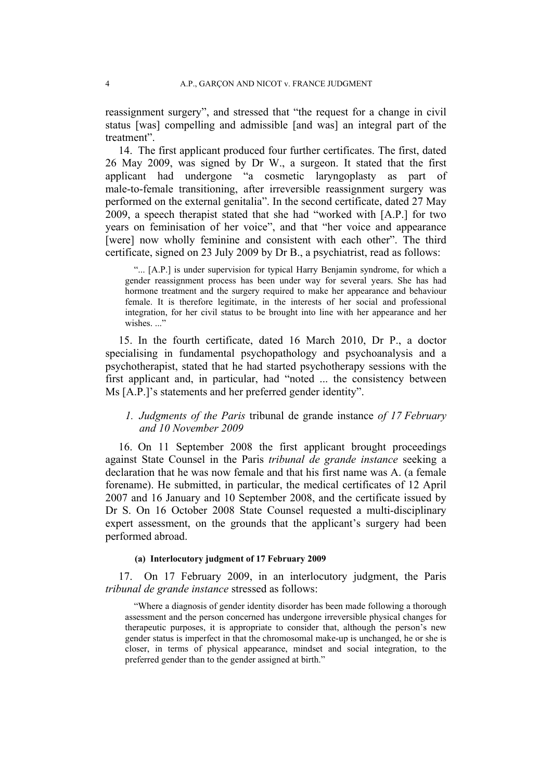reassignment surgery", and stressed that "the request for a change in civil status [was] compelling and admissible [and was] an integral part of the treatment".

14. The first applicant produced four further certificates. The first, dated 26 May 2009, was signed by Dr W., a surgeon. It stated that the first applicant had undergone "a cosmetic laryngoplasty as part of male-to-female transitioning, after irreversible reassignment surgery was performed on the external genitalia". In the second certificate, dated 27 May 2009, a speech therapist stated that she had "worked with [A.P.] for two years on feminisation of her voice", and that "her voice and appearance [were] now wholly feminine and consistent with each other". The third certificate, signed on 23 July 2009 by Dr B., a psychiatrist, read as follows:

"... [A.P.] is under supervision for typical Harry Benjamin syndrome, for which a gender reassignment process has been under way for several years. She has had hormone treatment and the surgery required to make her appearance and behaviour female. It is therefore legitimate, in the interests of her social and professional integration, for her civil status to be brought into line with her appearance and her wishes..."

15. In the fourth certificate, dated 16 March 2010, Dr P., a doctor specialising in fundamental psychopathology and psychoanalysis and a psychotherapist, stated that he had started psychotherapy sessions with the first applicant and, in particular, had "noted ... the consistency between Ms [A.P.]'s statements and her preferred gender identity".

## *1. Judgments of the Paris* tribunal de grande instance *of 17 February and 10 November 2009*

16. On 11 September 2008 the first applicant brought proceedings against State Counsel in the Paris *tribunal de grande instance* seeking a declaration that he was now female and that his first name was A. (a female forename). He submitted, in particular, the medical certificates of 12 April 2007 and 16 January and 10 September 2008, and the certificate issued by Dr S. On 16 October 2008 State Counsel requested a multi-disciplinary expert assessment, on the grounds that the applicant's surgery had been performed abroad.

#### **(a) Interlocutory judgment of 17 February 2009**

17. On 17 February 2009, in an interlocutory judgment, the Paris *tribunal de grande instance* stressed as follows:

"Where a diagnosis of gender identity disorder has been made following a thorough assessment and the person concerned has undergone irreversible physical changes for therapeutic purposes, it is appropriate to consider that, although the person's new gender status is imperfect in that the chromosomal make-up is unchanged, he or she is closer, in terms of physical appearance, mindset and social integration, to the preferred gender than to the gender assigned at birth."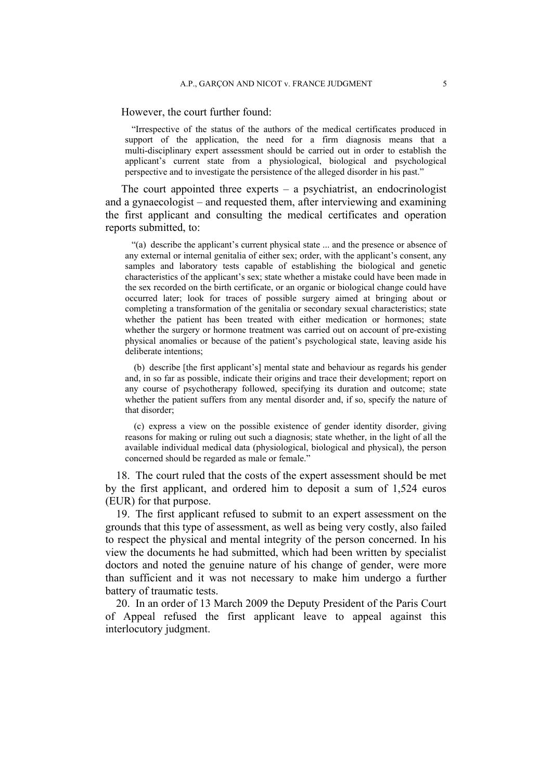However, the court further found:

"Irrespective of the status of the authors of the medical certificates produced in support of the application, the need for a firm diagnosis means that a multi-disciplinary expert assessment should be carried out in order to establish the applicant's current state from a physiological, biological and psychological perspective and to investigate the persistence of the alleged disorder in his past."

The court appointed three experts  $-$  a psychiatrist, an endocrinologist and a gynaecologist – and requested them, after interviewing and examining the first applicant and consulting the medical certificates and operation reports submitted, to:

"(a) describe the applicant's current physical state ... and the presence or absence of any external or internal genitalia of either sex; order, with the applicant's consent, any samples and laboratory tests capable of establishing the biological and genetic characteristics of the applicant's sex; state whether a mistake could have been made in the sex recorded on the birth certificate, or an organic or biological change could have occurred later; look for traces of possible surgery aimed at bringing about or completing a transformation of the genitalia or secondary sexual characteristics; state whether the patient has been treated with either medication or hormones; state whether the surgery or hormone treatment was carried out on account of pre-existing physical anomalies or because of the patient's psychological state, leaving aside his deliberate intentions;

(b) describe [the first applicant's] mental state and behaviour as regards his gender and, in so far as possible, indicate their origins and trace their development; report on any course of psychotherapy followed, specifying its duration and outcome; state whether the patient suffers from any mental disorder and, if so, specify the nature of that disorder;

(c) express a view on the possible existence of gender identity disorder, giving reasons for making or ruling out such a diagnosis; state whether, in the light of all the available individual medical data (physiological, biological and physical), the person concerned should be regarded as male or female."

18. The court ruled that the costs of the expert assessment should be met by the first applicant, and ordered him to deposit a sum of 1,524 euros (EUR) for that purpose.

19. The first applicant refused to submit to an expert assessment on the grounds that this type of assessment, as well as being very costly, also failed to respect the physical and mental integrity of the person concerned. In his view the documents he had submitted, which had been written by specialist doctors and noted the genuine nature of his change of gender, were more than sufficient and it was not necessary to make him undergo a further battery of traumatic tests.

20. In an order of 13 March 2009 the Deputy President of the Paris Court of Appeal refused the first applicant leave to appeal against this interlocutory judgment.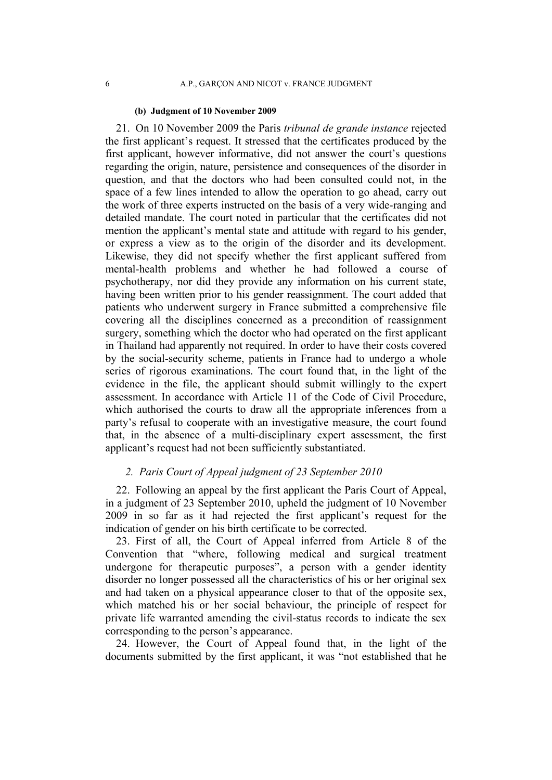#### **(b) Judgment of 10 November 2009**

21. On 10 November 2009 the Paris *tribunal de grande instance* rejected the first applicant's request. It stressed that the certificates produced by the first applicant, however informative, did not answer the court's questions regarding the origin, nature, persistence and consequences of the disorder in question, and that the doctors who had been consulted could not, in the space of a few lines intended to allow the operation to go ahead, carry out the work of three experts instructed on the basis of a very wide-ranging and detailed mandate. The court noted in particular that the certificates did not mention the applicant's mental state and attitude with regard to his gender, or express a view as to the origin of the disorder and its development. Likewise, they did not specify whether the first applicant suffered from mental-health problems and whether he had followed a course of psychotherapy, nor did they provide any information on his current state, having been written prior to his gender reassignment. The court added that patients who underwent surgery in France submitted a comprehensive file covering all the disciplines concerned as a precondition of reassignment surgery, something which the doctor who had operated on the first applicant in Thailand had apparently not required. In order to have their costs covered by the social-security scheme, patients in France had to undergo a whole series of rigorous examinations. The court found that, in the light of the evidence in the file, the applicant should submit willingly to the expert assessment. In accordance with Article 11 of the Code of Civil Procedure, which authorised the courts to draw all the appropriate inferences from a party's refusal to cooperate with an investigative measure, the court found that, in the absence of a multi-disciplinary expert assessment, the first applicant's request had not been sufficiently substantiated.

## *2. Paris Court of Appeal judgment of 23 September 2010*

22. Following an appeal by the first applicant the Paris Court of Appeal, in a judgment of 23 September 2010, upheld the judgment of 10 November 2009 in so far as it had rejected the first applicant's request for the indication of gender on his birth certificate to be corrected.

23. First of all, the Court of Appeal inferred from Article 8 of the Convention that "where, following medical and surgical treatment undergone for therapeutic purposes", a person with a gender identity disorder no longer possessed all the characteristics of his or her original sex and had taken on a physical appearance closer to that of the opposite sex, which matched his or her social behaviour, the principle of respect for private life warranted amending the civil-status records to indicate the sex corresponding to the person's appearance.

24. However, the Court of Appeal found that, in the light of the documents submitted by the first applicant, it was "not established that he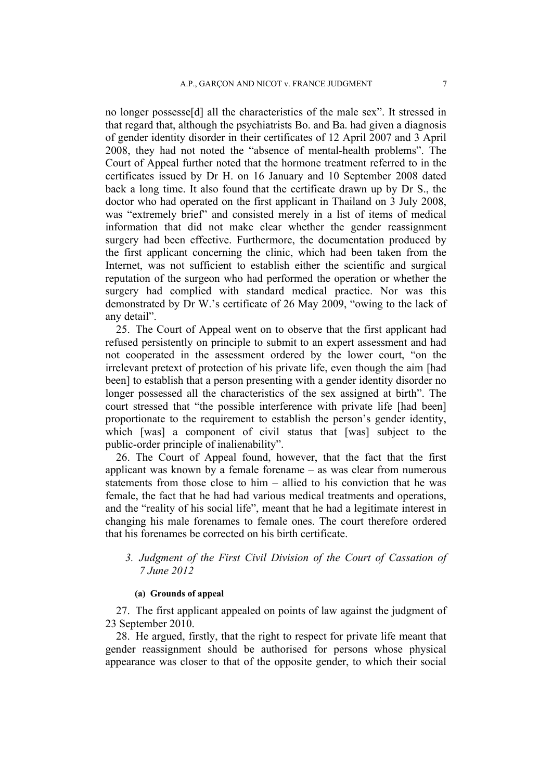no longer possesse[d] all the characteristics of the male sex". It stressed in that regard that, although the psychiatrists Bo. and Ba. had given a diagnosis of gender identity disorder in their certificates of 12 April 2007 and 3 April 2008, they had not noted the "absence of mental-health problems". The Court of Appeal further noted that the hormone treatment referred to in the certificates issued by Dr H. on 16 January and 10 September 2008 dated back a long time. It also found that the certificate drawn up by Dr S., the doctor who had operated on the first applicant in Thailand on 3 July 2008, was "extremely brief" and consisted merely in a list of items of medical information that did not make clear whether the gender reassignment surgery had been effective. Furthermore, the documentation produced by the first applicant concerning the clinic, which had been taken from the Internet, was not sufficient to establish either the scientific and surgical reputation of the surgeon who had performed the operation or whether the surgery had complied with standard medical practice. Nor was this demonstrated by Dr W.'s certificate of 26 May 2009, "owing to the lack of any detail".

25. The Court of Appeal went on to observe that the first applicant had refused persistently on principle to submit to an expert assessment and had not cooperated in the assessment ordered by the lower court, "on the irrelevant pretext of protection of his private life, even though the aim [had been] to establish that a person presenting with a gender identity disorder no longer possessed all the characteristics of the sex assigned at birth". The court stressed that "the possible interference with private life [had been] proportionate to the requirement to establish the person's gender identity, which [was] a component of civil status that [was] subject to the public-order principle of inalienability".

26. The Court of Appeal found, however, that the fact that the first applicant was known by a female forename – as was clear from numerous statements from those close to him – allied to his conviction that he was female, the fact that he had had various medical treatments and operations, and the "reality of his social life", meant that he had a legitimate interest in changing his male forenames to female ones. The court therefore ordered that his forenames be corrected on his birth certificate.

## *3. Judgment of the First Civil Division of the Court of Cassation of 7 June 2012*

## **(a) Grounds of appeal**

27. The first applicant appealed on points of law against the judgment of 23 September 2010.

28. He argued, firstly, that the right to respect for private life meant that gender reassignment should be authorised for persons whose physical appearance was closer to that of the opposite gender, to which their social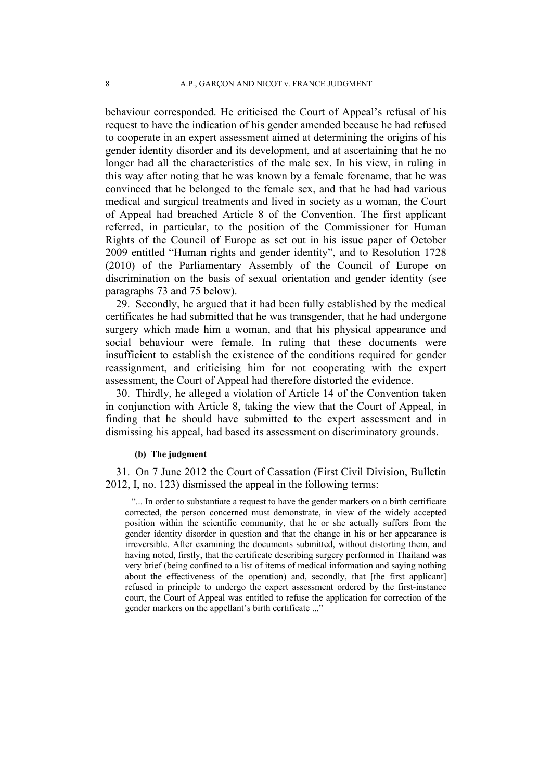behaviour corresponded. He criticised the Court of Appeal's refusal of his request to have the indication of his gender amended because he had refused to cooperate in an expert assessment aimed at determining the origins of his gender identity disorder and its development, and at ascertaining that he no longer had all the characteristics of the male sex. In his view, in ruling in this way after noting that he was known by a female forename, that he was convinced that he belonged to the female sex, and that he had had various medical and surgical treatments and lived in society as a woman, the Court of Appeal had breached Article 8 of the Convention. The first applicant referred, in particular, to the position of the Commissioner for Human Rights of the Council of Europe as set out in his issue paper of October 2009 entitled "Human rights and gender identity", and to Resolution 1728 (2010) of the Parliamentary Assembly of the Council of Europe on discrimination on the basis of sexual orientation and gender identity (see paragraphs 73 and 75 below).

29. Secondly, he argued that it had been fully established by the medical certificates he had submitted that he was transgender, that he had undergone surgery which made him a woman, and that his physical appearance and social behaviour were female. In ruling that these documents were insufficient to establish the existence of the conditions required for gender reassignment, and criticising him for not cooperating with the expert assessment, the Court of Appeal had therefore distorted the evidence.

30. Thirdly, he alleged a violation of Article 14 of the Convention taken in conjunction with Article 8, taking the view that the Court of Appeal, in finding that he should have submitted to the expert assessment and in dismissing his appeal, had based its assessment on discriminatory grounds.

#### **(b) The judgment**

31. On 7 June 2012 the Court of Cassation (First Civil Division, Bulletin 2012, I, no. 123) dismissed the appeal in the following terms:

"... In order to substantiate a request to have the gender markers on a birth certificate corrected, the person concerned must demonstrate, in view of the widely accepted position within the scientific community, that he or she actually suffers from the gender identity disorder in question and that the change in his or her appearance is irreversible. After examining the documents submitted, without distorting them, and having noted, firstly, that the certificate describing surgery performed in Thailand was very brief (being confined to a list of items of medical information and saying nothing about the effectiveness of the operation) and, secondly, that [the first applicant] refused in principle to undergo the expert assessment ordered by the first-instance court, the Court of Appeal was entitled to refuse the application for correction of the gender markers on the appellant's birth certificate ..."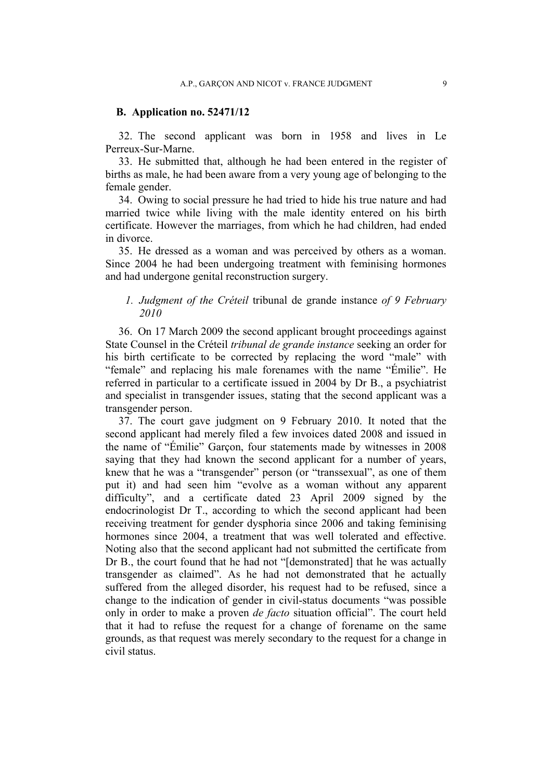### **B. Application no. 52471/12**

32. The second applicant was born in 1958 and lives in Le Perreux-Sur-Marne.

33. He submitted that, although he had been entered in the register of births as male, he had been aware from a very young age of belonging to the female gender.

34. Owing to social pressure he had tried to hide his true nature and had married twice while living with the male identity entered on his birth certificate. However the marriages, from which he had children, had ended in divorce.

35. He dressed as a woman and was perceived by others as a woman. Since 2004 he had been undergoing treatment with feminising hormones and had undergone genital reconstruction surgery.

## *1. Judgment of the Créteil* tribunal de grande instance *of 9 February 2010*

36. On 17 March 2009 the second applicant brought proceedings against State Counsel in the Créteil *tribunal de grande instance* seeking an order for his birth certificate to be corrected by replacing the word "male" with "female" and replacing his male forenames with the name "Émilie". He referred in particular to a certificate issued in 2004 by Dr B., a psychiatrist and specialist in transgender issues, stating that the second applicant was a transgender person.

37. The court gave judgment on 9 February 2010. It noted that the second applicant had merely filed a few invoices dated 2008 and issued in the name of "Émilie" Garçon, four statements made by witnesses in 2008 saying that they had known the second applicant for a number of years, knew that he was a "transgender" person (or "transsexual", as one of them put it) and had seen him "evolve as a woman without any apparent difficulty", and a certificate dated 23 April 2009 signed by the endocrinologist Dr T., according to which the second applicant had been receiving treatment for gender dysphoria since 2006 and taking feminising hormones since 2004, a treatment that was well tolerated and effective. Noting also that the second applicant had not submitted the certificate from Dr B., the court found that he had not "[demonstrated] that he was actually transgender as claimed". As he had not demonstrated that he actually suffered from the alleged disorder, his request had to be refused, since a change to the indication of gender in civil-status documents "was possible only in order to make a proven *de facto* situation official". The court held that it had to refuse the request for a change of forename on the same grounds, as that request was merely secondary to the request for a change in civil status.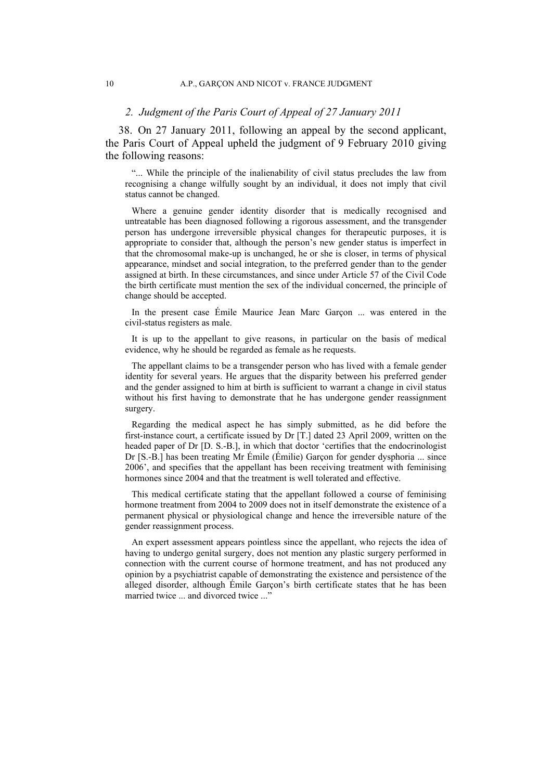### *2. Judgment of the Paris Court of Appeal of 27 January 2011*

38. On 27 January 2011, following an appeal by the second applicant, the Paris Court of Appeal upheld the judgment of 9 February 2010 giving the following reasons:

"... While the principle of the inalienability of civil status precludes the law from recognising a change wilfully sought by an individual, it does not imply that civil status cannot be changed.

Where a genuine gender identity disorder that is medically recognised and untreatable has been diagnosed following a rigorous assessment, and the transgender person has undergone irreversible physical changes for therapeutic purposes, it is appropriate to consider that, although the person's new gender status is imperfect in that the chromosomal make-up is unchanged, he or she is closer, in terms of physical appearance, mindset and social integration, to the preferred gender than to the gender assigned at birth. In these circumstances, and since under Article 57 of the Civil Code the birth certificate must mention the sex of the individual concerned, the principle of change should be accepted.

In the present case Émile Maurice Jean Marc Garçon ... was entered in the civil-status registers as male.

It is up to the appellant to give reasons, in particular on the basis of medical evidence, why he should be regarded as female as he requests.

The appellant claims to be a transgender person who has lived with a female gender identity for several years. He argues that the disparity between his preferred gender and the gender assigned to him at birth is sufficient to warrant a change in civil status without his first having to demonstrate that he has undergone gender reassignment surgery.

Regarding the medical aspect he has simply submitted, as he did before the first-instance court, a certificate issued by Dr [T.] dated 23 April 2009, written on the headed paper of Dr [D. S.-B.], in which that doctor 'certifies that the endocrinologist Dr [S.-B.] has been treating Mr Émile (Émilie) Garçon for gender dysphoria ... since 2006', and specifies that the appellant has been receiving treatment with feminising hormones since 2004 and that the treatment is well tolerated and effective.

This medical certificate stating that the appellant followed a course of feminising hormone treatment from 2004 to 2009 does not in itself demonstrate the existence of a permanent physical or physiological change and hence the irreversible nature of the gender reassignment process.

An expert assessment appears pointless since the appellant, who rejects the idea of having to undergo genital surgery, does not mention any plastic surgery performed in connection with the current course of hormone treatment, and has not produced any opinion by a psychiatrist capable of demonstrating the existence and persistence of the alleged disorder, although Émile Garçon's birth certificate states that he has been married twice ... and divorced twice ..."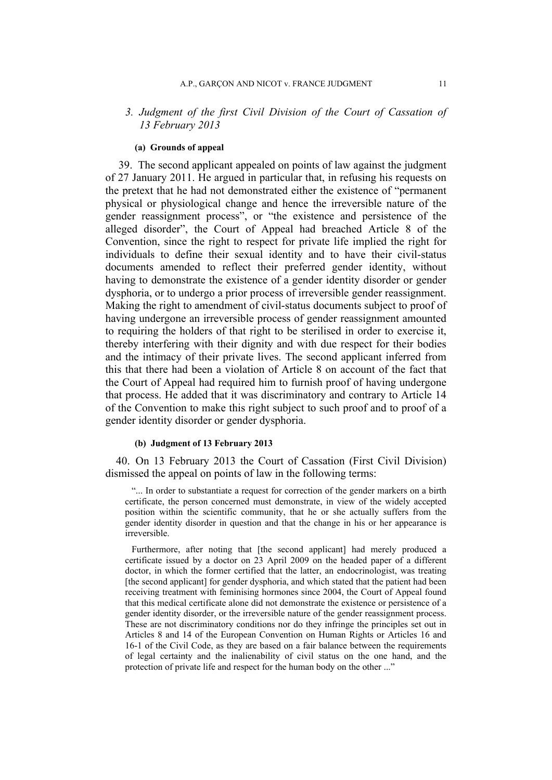## *3. Judgment of the first Civil Division of the Court of Cassation of 13 February 2013*

#### **(a) Grounds of appeal**

39. The second applicant appealed on points of law against the judgment of 27 January 2011. He argued in particular that, in refusing his requests on the pretext that he had not demonstrated either the existence of "permanent physical or physiological change and hence the irreversible nature of the gender reassignment process", or "the existence and persistence of the alleged disorder", the Court of Appeal had breached Article 8 of the Convention, since the right to respect for private life implied the right for individuals to define their sexual identity and to have their civil-status documents amended to reflect their preferred gender identity, without having to demonstrate the existence of a gender identity disorder or gender dysphoria, or to undergo a prior process of irreversible gender reassignment. Making the right to amendment of civil-status documents subject to proof of having undergone an irreversible process of gender reassignment amounted to requiring the holders of that right to be sterilised in order to exercise it, thereby interfering with their dignity and with due respect for their bodies and the intimacy of their private lives. The second applicant inferred from this that there had been a violation of Article 8 on account of the fact that the Court of Appeal had required him to furnish proof of having undergone that process. He added that it was discriminatory and contrary to Article 14 of the Convention to make this right subject to such proof and to proof of a gender identity disorder or gender dysphoria.

### **(b) Judgment of 13 February 2013**

40. On 13 February 2013 the Court of Cassation (First Civil Division) dismissed the appeal on points of law in the following terms:

"... In order to substantiate a request for correction of the gender markers on a birth certificate, the person concerned must demonstrate, in view of the widely accepted position within the scientific community, that he or she actually suffers from the gender identity disorder in question and that the change in his or her appearance is irreversible.

Furthermore, after noting that [the second applicant] had merely produced a certificate issued by a doctor on 23 April 2009 on the headed paper of a different doctor, in which the former certified that the latter, an endocrinologist, was treating [the second applicant] for gender dysphoria, and which stated that the patient had been receiving treatment with feminising hormones since 2004, the Court of Appeal found that this medical certificate alone did not demonstrate the existence or persistence of a gender identity disorder, or the irreversible nature of the gender reassignment process. These are not discriminatory conditions nor do they infringe the principles set out in Articles 8 and 14 of the European Convention on Human Rights or Articles 16 and 16-1 of the Civil Code, as they are based on a fair balance between the requirements of legal certainty and the inalienability of civil status on the one hand, and the protection of private life and respect for the human body on the other ..."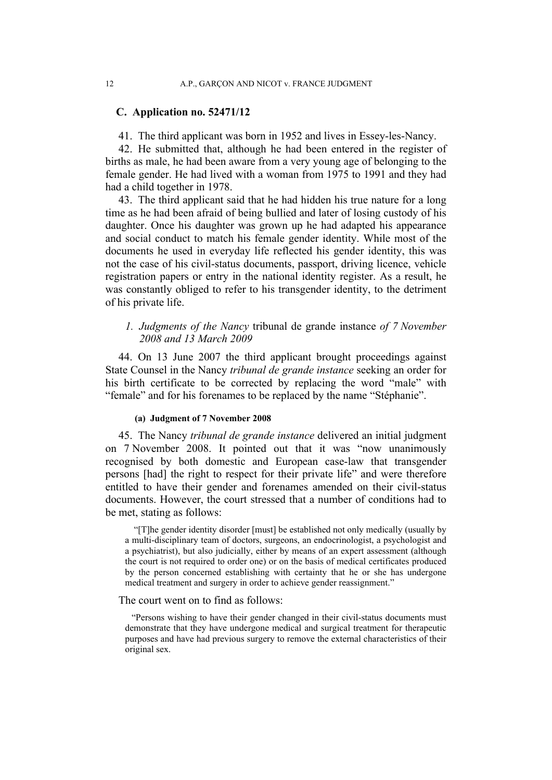## **C. Application no. 52471/12**

41. The third applicant was born in 1952 and lives in Essey-les-Nancy.

42. He submitted that, although he had been entered in the register of births as male, he had been aware from a very young age of belonging to the female gender. He had lived with a woman from 1975 to 1991 and they had had a child together in 1978.

43. The third applicant said that he had hidden his true nature for a long time as he had been afraid of being bullied and later of losing custody of his daughter. Once his daughter was grown up he had adapted his appearance and social conduct to match his female gender identity. While most of the documents he used in everyday life reflected his gender identity, this was not the case of his civil-status documents, passport, driving licence, vehicle registration papers or entry in the national identity register. As a result, he was constantly obliged to refer to his transgender identity, to the detriment of his private life.

*1. Judgments of the Nancy* tribunal de grande instance *of 7 November 2008 and 13 March 2009*

44. On 13 June 2007 the third applicant brought proceedings against State Counsel in the Nancy *tribunal de grande instance* seeking an order for his birth certificate to be corrected by replacing the word "male" with "female" and for his forenames to be replaced by the name "Stéphanie".

### **(a) Judgment of 7 November 2008**

45. The Nancy *tribunal de grande instance* delivered an initial judgment on 7 November 2008. It pointed out that it was "now unanimously recognised by both domestic and European case-law that transgender persons [had] the right to respect for their private life" and were therefore entitled to have their gender and forenames amended on their civil-status documents. However, the court stressed that a number of conditions had to be met, stating as follows:

"[T]he gender identity disorder [must] be established not only medically (usually by a multi-disciplinary team of doctors, surgeons, an endocrinologist, a psychologist and a psychiatrist), but also judicially, either by means of an expert assessment (although the court is not required to order one) or on the basis of medical certificates produced by the person concerned establishing with certainty that he or she has undergone medical treatment and surgery in order to achieve gender reassignment."

#### The court went on to find as follows:

"Persons wishing to have their gender changed in their civil-status documents must demonstrate that they have undergone medical and surgical treatment for therapeutic purposes and have had previous surgery to remove the external characteristics of their original sex.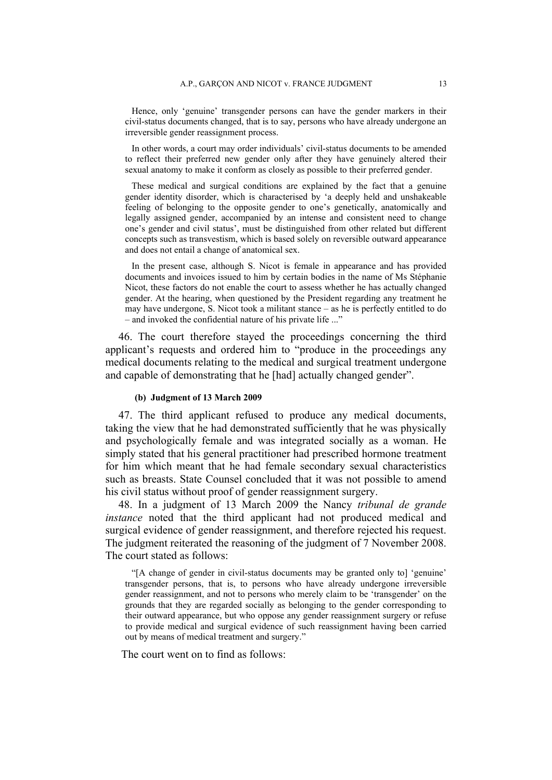Hence, only 'genuine' transgender persons can have the gender markers in their civil-status documents changed, that is to say, persons who have already undergone an irreversible gender reassignment process.

In other words, a court may order individuals' civil-status documents to be amended to reflect their preferred new gender only after they have genuinely altered their sexual anatomy to make it conform as closely as possible to their preferred gender.

These medical and surgical conditions are explained by the fact that a genuine gender identity disorder, which is characterised by 'a deeply held and unshakeable feeling of belonging to the opposite gender to one's genetically, anatomically and legally assigned gender, accompanied by an intense and consistent need to change one's gender and civil status', must be distinguished from other related but different concepts such as transvestism, which is based solely on reversible outward appearance and does not entail a change of anatomical sex.

In the present case, although S. Nicot is female in appearance and has provided documents and invoices issued to him by certain bodies in the name of Ms Stéphanie Nicot, these factors do not enable the court to assess whether he has actually changed gender. At the hearing, when questioned by the President regarding any treatment he may have undergone, S. Nicot took a militant stance – as he is perfectly entitled to do – and invoked the confidential nature of his private life ..."

46. The court therefore stayed the proceedings concerning the third applicant's requests and ordered him to "produce in the proceedings any medical documents relating to the medical and surgical treatment undergone and capable of demonstrating that he [had] actually changed gender".

#### **(b) Judgment of 13 March 2009**

47. The third applicant refused to produce any medical documents, taking the view that he had demonstrated sufficiently that he was physically and psychologically female and was integrated socially as a woman. He simply stated that his general practitioner had prescribed hormone treatment for him which meant that he had female secondary sexual characteristics such as breasts. State Counsel concluded that it was not possible to amend his civil status without proof of gender reassignment surgery.

48. In a judgment of 13 March 2009 the Nancy *tribunal de grande instance* noted that the third applicant had not produced medical and surgical evidence of gender reassignment, and therefore rejected his request. The judgment reiterated the reasoning of the judgment of 7 November 2008. The court stated as follows:

"[A change of gender in civil-status documents may be granted only to] 'genuine' transgender persons, that is, to persons who have already undergone irreversible gender reassignment, and not to persons who merely claim to be 'transgender' on the grounds that they are regarded socially as belonging to the gender corresponding to their outward appearance, but who oppose any gender reassignment surgery or refuse to provide medical and surgical evidence of such reassignment having been carried out by means of medical treatment and surgery."

The court went on to find as follows: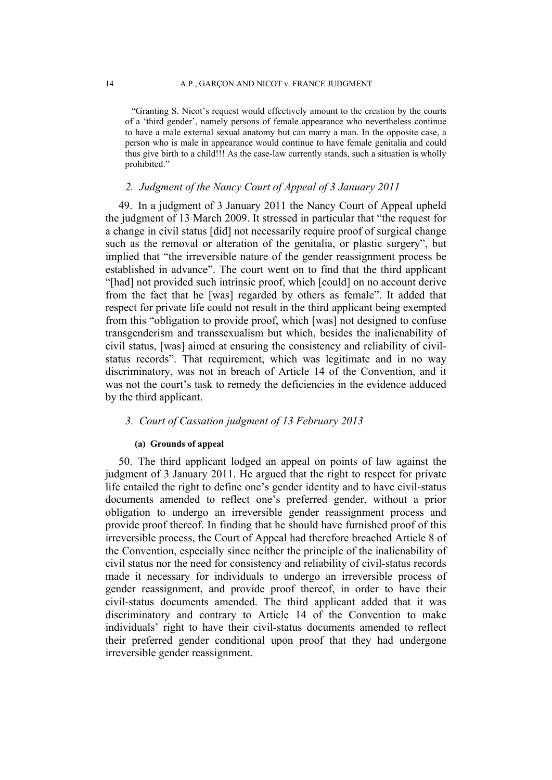"Granting S. Nicot's request would effectively amount to the creation by the courts of a 'third gender', namely persons of female appearance who nevertheless continue to have a male external sexual anatomy but can marry a man. In the opposite case, a person who is male in appearance would continue to have female genitalia and could thus give birth to a child!!! As the case-law currently stands, such a situation is wholly prohibited."

## *2. Judgment of the Nancy Court of Appeal of 3 January 2011*

49. In a judgment of 3 January 2011 the Nancy Court of Appeal upheld the judgment of 13 March 2009. It stressed in particular that "the request for a change in civil status [did] not necessarily require proof of surgical change such as the removal or alteration of the genitalia, or plastic surgery", but implied that "the irreversible nature of the gender reassignment process be established in advance". The court went on to find that the third applicant "[had] not provided such intrinsic proof, which [could] on no account derive from the fact that he [was] regarded by others as female". It added that respect for private life could not result in the third applicant being exempted from this "obligation to provide proof, which [was] not designed to confuse transgenderism and transsexualism but which, besides the inalienability of civil status, [was] aimed at ensuring the consistency and reliability of civilstatus records". That requirement, which was legitimate and in no way discriminatory, was not in breach of Article 14 of the Convention, and it was not the court's task to remedy the deficiencies in the evidence adduced by the third applicant.

### *3. Court of Cassation judgment of 13 February 2013*

## **(a) Grounds of appeal**

50. The third applicant lodged an appeal on points of law against the judgment of 3 January 2011. He argued that the right to respect for private life entailed the right to define one's gender identity and to have civil-status documents amended to reflect one's preferred gender, without a prior obligation to undergo an irreversible gender reassignment process and provide proof thereof. In finding that he should have furnished proof of this irreversible process, the Court of Appeal had therefore breached Article 8 of the Convention, especially since neither the principle of the inalienability of civil status nor the need for consistency and reliability of civil-status records made it necessary for individuals to undergo an irreversible process of gender reassignment, and provide proof thereof, in order to have their civil-status documents amended. The third applicant added that it was discriminatory and contrary to Article 14 of the Convention to make individuals' right to have their civil-status documents amended to reflect their preferred gender conditional upon proof that they had undergone irreversible gender reassignment.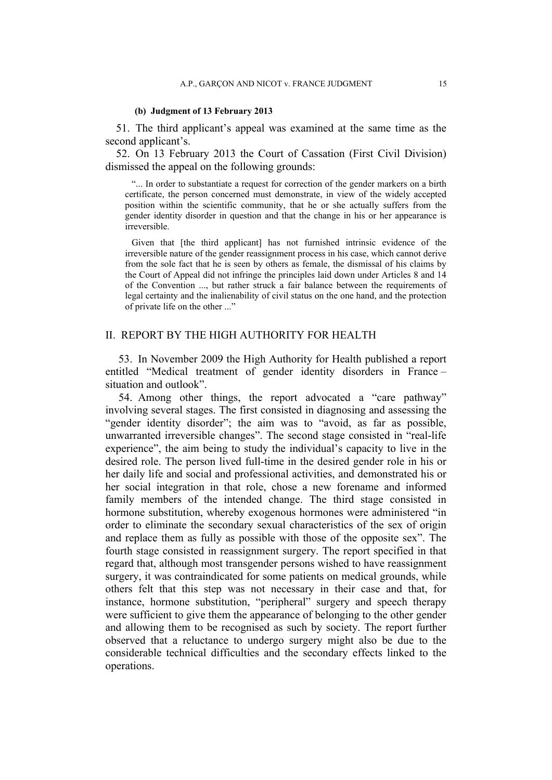#### **(b) Judgment of 13 February 2013**

51. The third applicant's appeal was examined at the same time as the second applicant's.

52. On 13 February 2013 the Court of Cassation (First Civil Division) dismissed the appeal on the following grounds:

"... In order to substantiate a request for correction of the gender markers on a birth certificate, the person concerned must demonstrate, in view of the widely accepted position within the scientific community, that he or she actually suffers from the gender identity disorder in question and that the change in his or her appearance is irreversible.

Given that [the third applicant] has not furnished intrinsic evidence of the irreversible nature of the gender reassignment process in his case, which cannot derive from the sole fact that he is seen by others as female, the dismissal of his claims by the Court of Appeal did not infringe the principles laid down under Articles 8 and 14 of the Convention ..., but rather struck a fair balance between the requirements of legal certainty and the inalienability of civil status on the one hand, and the protection of private life on the other ..."

## II. REPORT BY THE HIGH AUTHORITY FOR HEALTH

53. In November 2009 the High Authority for Health published a report entitled "Medical treatment of gender identity disorders in France – situation and outlook".

54. Among other things, the report advocated a "care pathway" involving several stages. The first consisted in diagnosing and assessing the "gender identity disorder"; the aim was to "avoid, as far as possible, unwarranted irreversible changes". The second stage consisted in "real-life experience", the aim being to study the individual's capacity to live in the desired role. The person lived full-time in the desired gender role in his or her daily life and social and professional activities, and demonstrated his or her social integration in that role, chose a new forename and informed family members of the intended change. The third stage consisted in hormone substitution, whereby exogenous hormones were administered "in order to eliminate the secondary sexual characteristics of the sex of origin and replace them as fully as possible with those of the opposite sex". The fourth stage consisted in reassignment surgery. The report specified in that regard that, although most transgender persons wished to have reassignment surgery, it was contraindicated for some patients on medical grounds, while others felt that this step was not necessary in their case and that, for instance, hormone substitution, "peripheral" surgery and speech therapy were sufficient to give them the appearance of belonging to the other gender and allowing them to be recognised as such by society. The report further observed that a reluctance to undergo surgery might also be due to the considerable technical difficulties and the secondary effects linked to the operations.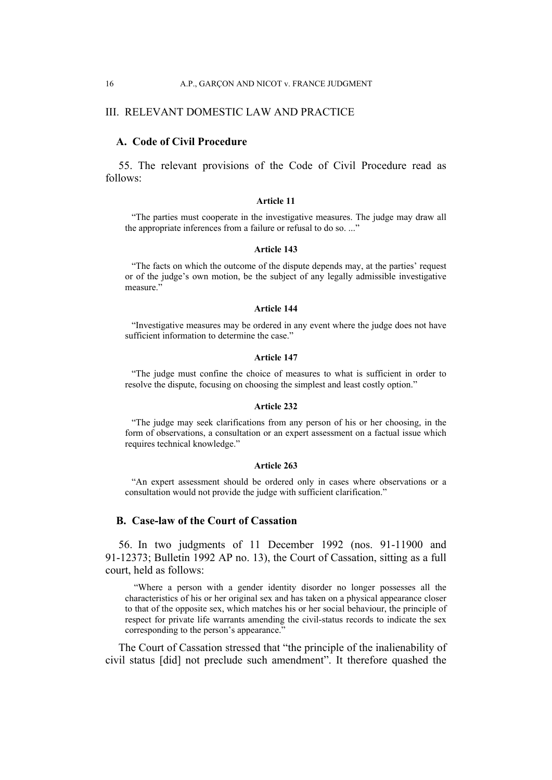### III. RELEVANT DOMESTIC LAW AND PRACTICE

## **A. Code of Civil Procedure**

55. The relevant provisions of the Code of Civil Procedure read as follows:

#### **Article 11**

"The parties must cooperate in the investigative measures. The judge may draw all the appropriate inferences from a failure or refusal to do so. ..."

#### **Article 143**

"The facts on which the outcome of the dispute depends may, at the parties' request or of the judge's own motion, be the subject of any legally admissible investigative measure."

#### **Article 144**

"Investigative measures may be ordered in any event where the judge does not have sufficient information to determine the case."

#### **Article 147**

"The judge must confine the choice of measures to what is sufficient in order to resolve the dispute, focusing on choosing the simplest and least costly option."

#### **Article 232**

"The judge may seek clarifications from any person of his or her choosing, in the form of observations, a consultation or an expert assessment on a factual issue which requires technical knowledge."

#### **Article 263**

"An expert assessment should be ordered only in cases where observations or a consultation would not provide the judge with sufficient clarification."

### **B. Case-law of the Court of Cassation**

56. In two judgments of 11 December 1992 (nos. 91-11900 and 91-12373; Bulletin 1992 AP no. 13), the Court of Cassation, sitting as a full court, held as follows:

"Where a person with a gender identity disorder no longer possesses all the characteristics of his or her original sex and has taken on a physical appearance closer to that of the opposite sex, which matches his or her social behaviour, the principle of respect for private life warrants amending the civil-status records to indicate the sex corresponding to the person's appearance."

The Court of Cassation stressed that "the principle of the inalienability of civil status [did] not preclude such amendment". It therefore quashed the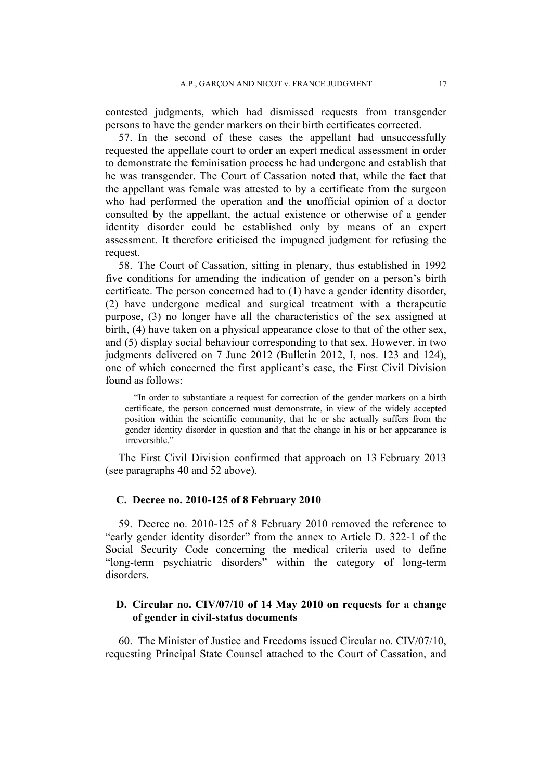contested judgments, which had dismissed requests from transgender persons to have the gender markers on their birth certificates corrected.

57. In the second of these cases the appellant had unsuccessfully requested the appellate court to order an expert medical assessment in order to demonstrate the feminisation process he had undergone and establish that he was transgender. The Court of Cassation noted that, while the fact that the appellant was female was attested to by a certificate from the surgeon who had performed the operation and the unofficial opinion of a doctor consulted by the appellant, the actual existence or otherwise of a gender identity disorder could be established only by means of an expert assessment. It therefore criticised the impugned judgment for refusing the request.

58. The Court of Cassation, sitting in plenary, thus established in 1992 five conditions for amending the indication of gender on a person's birth certificate. The person concerned had to (1) have a gender identity disorder, (2) have undergone medical and surgical treatment with a therapeutic purpose, (3) no longer have all the characteristics of the sex assigned at birth, (4) have taken on a physical appearance close to that of the other sex, and (5) display social behaviour corresponding to that sex. However, in two judgments delivered on 7 June 2012 (Bulletin 2012, I, nos. 123 and 124), one of which concerned the first applicant's case, the First Civil Division found as follows:

"In order to substantiate a request for correction of the gender markers on a birth certificate, the person concerned must demonstrate, in view of the widely accepted position within the scientific community, that he or she actually suffers from the gender identity disorder in question and that the change in his or her appearance is irreversible."

The First Civil Division confirmed that approach on 13 February 2013 (see paragraphs 40 and 52 above).

### **C. Decree no. 2010-125 of 8 February 2010**

59. Decree no. 2010-125 of 8 February 2010 removed the reference to "early gender identity disorder" from the annex to Article D. 322-1 of the Social Security Code concerning the medical criteria used to define "long-term psychiatric disorders" within the category of long-term disorders.

## **D. Circular no. CIV/07/10 of 14 May 2010 on requests for a change of gender in civil-status documents**

60. The Minister of Justice and Freedoms issued Circular no. CIV/07/10, requesting Principal State Counsel attached to the Court of Cassation, and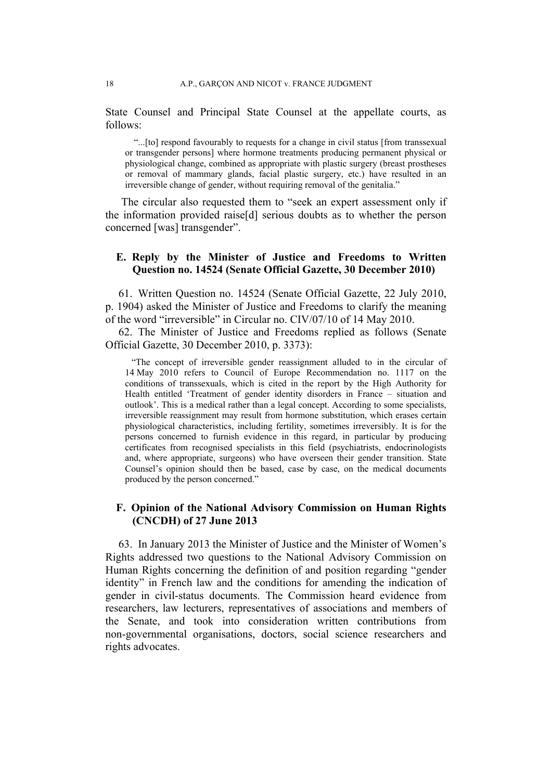State Counsel and Principal State Counsel at the appellate courts, as follows:

"...[to] respond favourably to requests for a change in civil status [from transsexual or transgender persons] where hormone treatments producing permanent physical or physiological change, combined as appropriate with plastic surgery (breast prostheses or removal of mammary glands, facial plastic surgery, etc.) have resulted in an irreversible change of gender, without requiring removal of the genitalia."

The circular also requested them to "seek an expert assessment only if the information provided raise[d] serious doubts as to whether the person concerned [was] transgender".

## **E. Reply by the Minister of Justice and Freedoms to Written Question no. 14524 (Senate Official Gazette, 30 December 2010)**

61. Written Question no. 14524 (Senate Official Gazette, 22 July 2010, p. 1904) asked the Minister of Justice and Freedoms to clarify the meaning of the word "irreversible" in Circular no. CIV/07/10 of 14 May 2010.

62. The Minister of Justice and Freedoms replied as follows (Senate Official Gazette, 30 December 2010, p. 3373):

"The concept of irreversible gender reassignment alluded to in the circular of 14 May 2010 refers to Council of Europe Recommendation no. 1117 on the conditions of transsexuals, which is cited in the report by the High Authority for Health entitled 'Treatment of gender identity disorders in France – situation and outlook'. This is a medical rather than a legal concept. According to some specialists, irreversible reassignment may result from hormone substitution, which erases certain physiological characteristics, including fertility, sometimes irreversibly. It is for the persons concerned to furnish evidence in this regard, in particular by producing certificates from recognised specialists in this field (psychiatrists, endocrinologists and, where appropriate, surgeons) who have overseen their gender transition. State Counsel's opinion should then be based, case by case, on the medical documents produced by the person concerned."

## **F. Opinion of the National Advisory Commission on Human Rights (CNCDH) of 27 June 2013**

63. In January 2013 the Minister of Justice and the Minister of Women's Rights addressed two questions to the National Advisory Commission on Human Rights concerning the definition of and position regarding "gender identity" in French law and the conditions for amending the indication of gender in civil-status documents. The Commission heard evidence from researchers, law lecturers, representatives of associations and members of the Senate, and took into consideration written contributions from non-governmental organisations, doctors, social science researchers and rights advocates.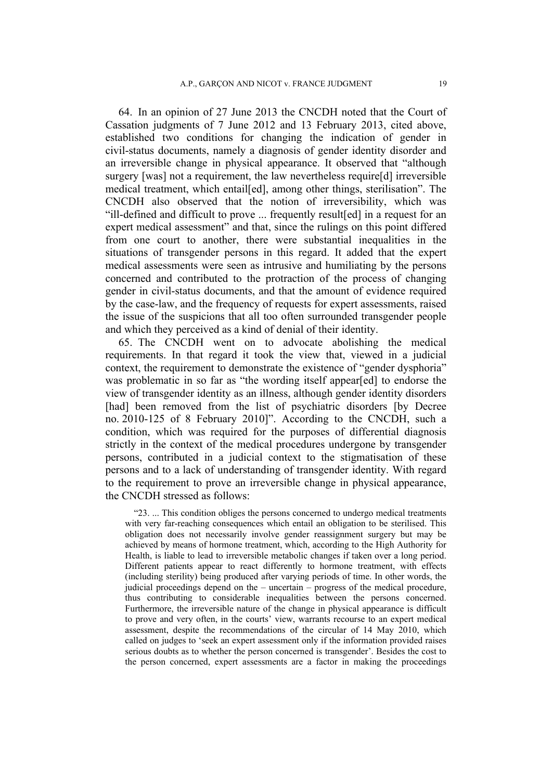64. In an opinion of 27 June 2013 the CNCDH noted that the Court of Cassation judgments of 7 June 2012 and 13 February 2013, cited above, established two conditions for changing the indication of gender in civil-status documents, namely a diagnosis of gender identity disorder and an irreversible change in physical appearance. It observed that "although surgery [was] not a requirement, the law nevertheless require[d] irreversible medical treatment, which entail[ed], among other things, sterilisation". The CNCDH also observed that the notion of irreversibility, which was "ill-defined and difficult to prove ... frequently result[ed] in a request for an expert medical assessment" and that, since the rulings on this point differed from one court to another, there were substantial inequalities in the situations of transgender persons in this regard. It added that the expert medical assessments were seen as intrusive and humiliating by the persons concerned and contributed to the protraction of the process of changing gender in civil-status documents, and that the amount of evidence required by the case-law, and the frequency of requests for expert assessments, raised the issue of the suspicions that all too often surrounded transgender people and which they perceived as a kind of denial of their identity.

65. The CNCDH went on to advocate abolishing the medical requirements. In that regard it took the view that, viewed in a judicial context, the requirement to demonstrate the existence of "gender dysphoria" was problematic in so far as "the wording itself appear[ed] to endorse the view of transgender identity as an illness, although gender identity disorders [had] been removed from the list of psychiatric disorders [by Decree no. 2010-125 of 8 February 2010]". According to the CNCDH, such a condition, which was required for the purposes of differential diagnosis strictly in the context of the medical procedures undergone by transgender persons, contributed in a judicial context to the stigmatisation of these persons and to a lack of understanding of transgender identity. With regard to the requirement to prove an irreversible change in physical appearance, the CNCDH stressed as follows:

"23. ... This condition obliges the persons concerned to undergo medical treatments with very far-reaching consequences which entail an obligation to be sterilised. This obligation does not necessarily involve gender reassignment surgery but may be achieved by means of hormone treatment, which, according to the High Authority for Health, is liable to lead to irreversible metabolic changes if taken over a long period. Different patients appear to react differently to hormone treatment, with effects (including sterility) being produced after varying periods of time. In other words, the judicial proceedings depend on the – uncertain – progress of the medical procedure, thus contributing to considerable inequalities between the persons concerned. Furthermore, the irreversible nature of the change in physical appearance is difficult to prove and very often, in the courts' view, warrants recourse to an expert medical assessment, despite the recommendations of the circular of 14 May 2010, which called on judges to 'seek an expert assessment only if the information provided raises serious doubts as to whether the person concerned is transgender'. Besides the cost to the person concerned, expert assessments are a factor in making the proceedings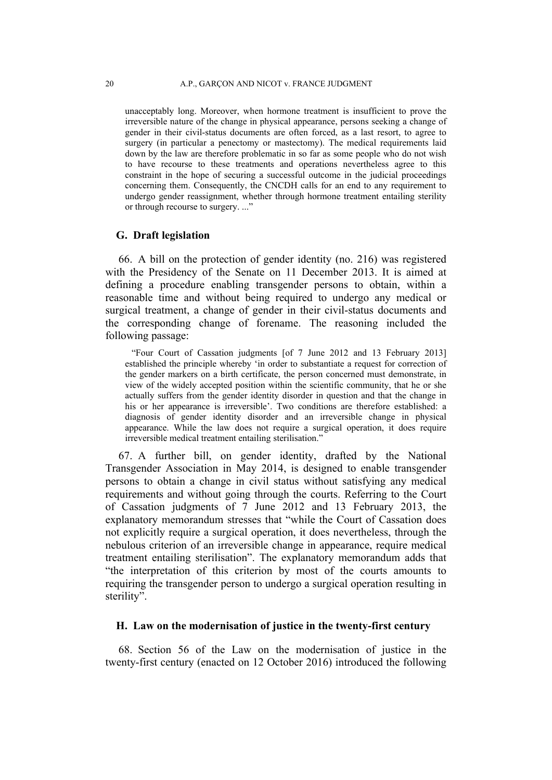unacceptably long. Moreover, when hormone treatment is insufficient to prove the irreversible nature of the change in physical appearance, persons seeking a change of gender in their civil-status documents are often forced, as a last resort, to agree to surgery (in particular a penectomy or mastectomy). The medical requirements laid down by the law are therefore problematic in so far as some people who do not wish to have recourse to these treatments and operations nevertheless agree to this constraint in the hope of securing a successful outcome in the judicial proceedings concerning them. Consequently, the CNCDH calls for an end to any requirement to undergo gender reassignment, whether through hormone treatment entailing sterility or through recourse to surgery. ..."

## **G. Draft legislation**

66. A bill on the protection of gender identity (no. 216) was registered with the Presidency of the Senate on 11 December 2013. It is aimed at defining a procedure enabling transgender persons to obtain, within a reasonable time and without being required to undergo any medical or surgical treatment, a change of gender in their civil-status documents and the corresponding change of forename. The reasoning included the following passage:

"Four Court of Cassation judgments [of 7 June 2012 and 13 February 2013] established the principle whereby 'in order to substantiate a request for correction of the gender markers on a birth certificate, the person concerned must demonstrate, in view of the widely accepted position within the scientific community, that he or she actually suffers from the gender identity disorder in question and that the change in his or her appearance is irreversible'. Two conditions are therefore established: a diagnosis of gender identity disorder and an irreversible change in physical appearance. While the law does not require a surgical operation, it does require irreversible medical treatment entailing sterilisation."

67. A further bill, on gender identity, drafted by the National Transgender Association in May 2014, is designed to enable transgender persons to obtain a change in civil status without satisfying any medical requirements and without going through the courts. Referring to the Court of Cassation judgments of 7 June 2012 and 13 February 2013, the explanatory memorandum stresses that "while the Court of Cassation does not explicitly require a surgical operation, it does nevertheless, through the nebulous criterion of an irreversible change in appearance, require medical treatment entailing sterilisation". The explanatory memorandum adds that "the interpretation of this criterion by most of the courts amounts to requiring the transgender person to undergo a surgical operation resulting in sterility".

## **H. Law on the modernisation of justice in the twenty-first century**

68. Section 56 of the Law on the modernisation of justice in the twenty-first century (enacted on 12 October 2016) introduced the following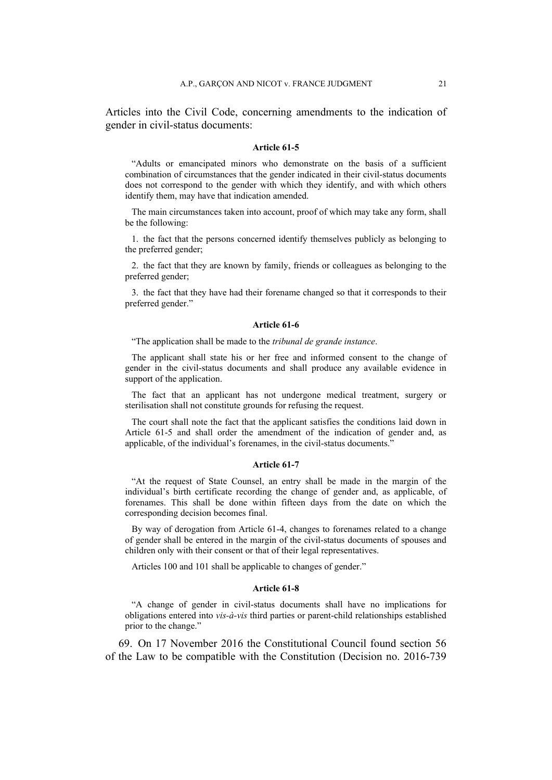Articles into the Civil Code, concerning amendments to the indication of gender in civil-status documents:

#### **Article 61-5**

"Adults or emancipated minors who demonstrate on the basis of a sufficient combination of circumstances that the gender indicated in their civil-status documents does not correspond to the gender with which they identify, and with which others identify them, may have that indication amended.

The main circumstances taken into account, proof of which may take any form, shall be the following:

1. the fact that the persons concerned identify themselves publicly as belonging to the preferred gender;

2. the fact that they are known by family, friends or colleagues as belonging to the preferred gender;

3. the fact that they have had their forename changed so that it corresponds to their preferred gender."

#### **Article 61-6**

"The application shall be made to the *tribunal de grande instance*.

The applicant shall state his or her free and informed consent to the change of gender in the civil-status documents and shall produce any available evidence in support of the application.

The fact that an applicant has not undergone medical treatment, surgery or sterilisation shall not constitute grounds for refusing the request.

The court shall note the fact that the applicant satisfies the conditions laid down in Article 61-5 and shall order the amendment of the indication of gender and, as applicable, of the individual's forenames, in the civil-status documents."

#### **Article 61-7**

"At the request of State Counsel, an entry shall be made in the margin of the individual's birth certificate recording the change of gender and, as applicable, of forenames. This shall be done within fifteen days from the date on which the corresponding decision becomes final.

By way of derogation from Article 61-4, changes to forenames related to a change of gender shall be entered in the margin of the civil-status documents of spouses and children only with their consent or that of their legal representatives.

Articles 100 and 101 shall be applicable to changes of gender."

#### **Article 61-8**

"A change of gender in civil-status documents shall have no implications for obligations entered into *vis-à-vis* third parties or parent-child relationships established prior to the change."

69. On 17 November 2016 the Constitutional Council found section 56 of the Law to be compatible with the Constitution (Decision no. 2016-739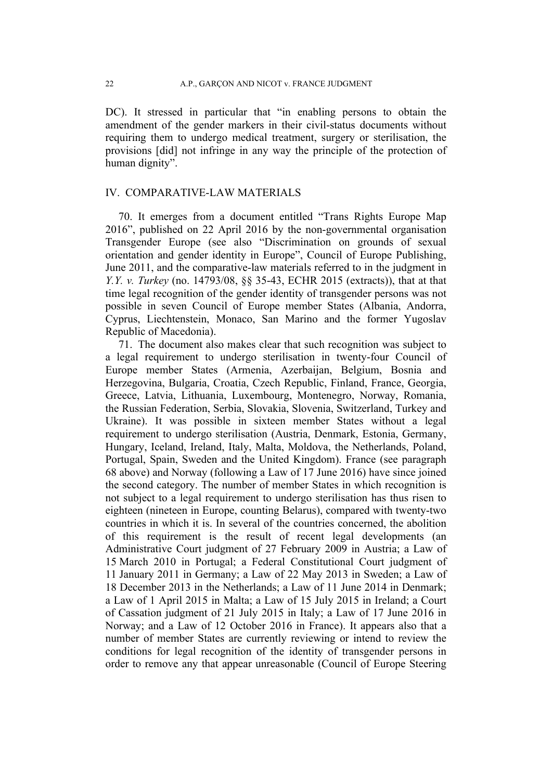DC). It stressed in particular that "in enabling persons to obtain the amendment of the gender markers in their civil-status documents without requiring them to undergo medical treatment, surgery or sterilisation, the provisions [did] not infringe in any way the principle of the protection of human dignity".

## IV. COMPARATIVE-LAW MATERIALS

70. It emerges from a document entitled "Trans Rights Europe Map 2016", published on 22 April 2016 by the non-governmental organisation Transgender Europe (see also "Discrimination on grounds of sexual orientation and gender identity in Europe", Council of Europe Publishing, June 2011, and the comparative-law materials referred to in the judgment in *Y.Y. v. Turkey* (no. 14793/08, §§ 35-43, ECHR 2015 (extracts)), that at that time legal recognition of the gender identity of transgender persons was not possible in seven Council of Europe member States (Albania, Andorra, Cyprus, Liechtenstein, Monaco, San Marino and the former Yugoslav Republic of Macedonia).

71. The document also makes clear that such recognition was subject to a legal requirement to undergo sterilisation in twenty-four Council of Europe member States (Armenia, Azerbaijan, Belgium, Bosnia and Herzegovina, Bulgaria, Croatia, Czech Republic, Finland, France, Georgia, Greece, Latvia, Lithuania, Luxembourg, Montenegro, Norway, Romania, the Russian Federation, Serbia, Slovakia, Slovenia, Switzerland, Turkey and Ukraine). It was possible in sixteen member States without a legal requirement to undergo sterilisation (Austria, Denmark, Estonia, Germany, Hungary, Iceland, Ireland, Italy, Malta, Moldova, the Netherlands, Poland, Portugal, Spain, Sweden and the United Kingdom). France (see paragraph 68 above) and Norway (following a Law of 17 June 2016) have since joined the second category. The number of member States in which recognition is not subject to a legal requirement to undergo sterilisation has thus risen to eighteen (nineteen in Europe, counting Belarus), compared with twenty-two countries in which it is. In several of the countries concerned, the abolition of this requirement is the result of recent legal developments (an Administrative Court judgment of 27 February 2009 in Austria; a Law of 15 March 2010 in Portugal; a Federal Constitutional Court judgment of 11 January 2011 in Germany; a Law of 22 May 2013 in Sweden; a Law of 18 December 2013 in the Netherlands; a Law of 11 June 2014 in Denmark; a Law of 1 April 2015 in Malta; a Law of 15 July 2015 in Ireland; a Court of Cassation judgment of 21 July 2015 in Italy; a Law of 17 June 2016 in Norway; and a Law of 12 October 2016 in France). It appears also that a number of member States are currently reviewing or intend to review the conditions for legal recognition of the identity of transgender persons in order to remove any that appear unreasonable (Council of Europe Steering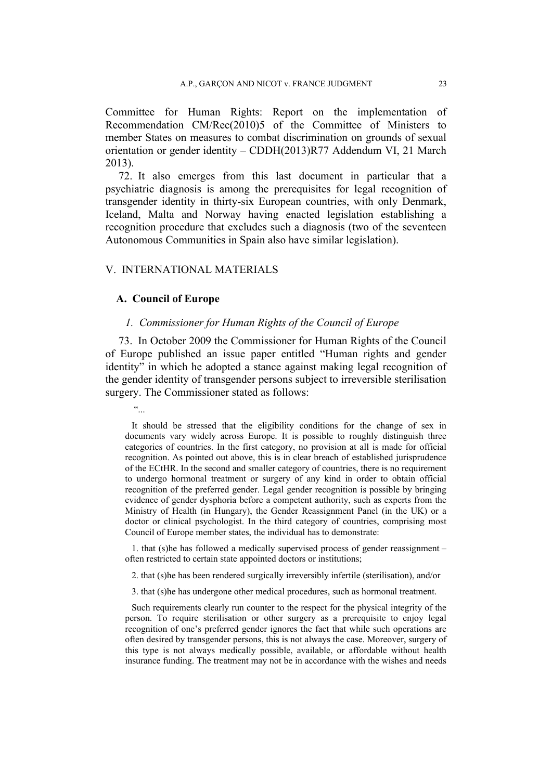Committee for Human Rights: Report on the implementation of Recommendation CM/Rec(2010)5 of the Committee of Ministers to member States on measures to combat discrimination on grounds of sexual orientation or gender identity – CDDH(2013)R77 Addendum VI, 21 March 2013).

72. It also emerges from this last document in particular that a psychiatric diagnosis is among the prerequisites for legal recognition of transgender identity in thirty-six European countries, with only Denmark, Iceland, Malta and Norway having enacted legislation establishing a recognition procedure that excludes such a diagnosis (two of the seventeen Autonomous Communities in Spain also have similar legislation).

## V. INTERNATIONAL MATERIALS

## **A. Council of Europe**

### *1. Commissioner for Human Rights of the Council of Europe*

73. In October 2009 the Commissioner for Human Rights of the Council of Europe published an issue paper entitled "Human rights and gender identity" in which he adopted a stance against making legal recognition of the gender identity of transgender persons subject to irreversible sterilisation surgery. The Commissioner stated as follows:

 $\ddot{\phantom{a}}$ 

It should be stressed that the eligibility conditions for the change of sex in documents vary widely across Europe. It is possible to roughly distinguish three categories of countries. In the first category, no provision at all is made for official recognition. As pointed out above, this is in clear breach of established jurisprudence of the ECtHR. In the second and smaller category of countries, there is no requirement to undergo hormonal treatment or surgery of any kind in order to obtain official recognition of the preferred gender. Legal gender recognition is possible by bringing evidence of gender dysphoria before a competent authority, such as experts from the Ministry of Health (in Hungary), the Gender Reassignment Panel (in the UK) or a doctor or clinical psychologist. In the third category of countries, comprising most Council of Europe member states, the individual has to demonstrate:

1. that (s)he has followed a medically supervised process of gender reassignment – often restricted to certain state appointed doctors or institutions;

2. that (s)he has been rendered surgically irreversibly infertile (sterilisation), and/or

3. that (s)he has undergone other medical procedures, such as hormonal treatment.

Such requirements clearly run counter to the respect for the physical integrity of the person. To require sterilisation or other surgery as a prerequisite to enjoy legal recognition of one's preferred gender ignores the fact that while such operations are often desired by transgender persons, this is not always the case. Moreover, surgery of this type is not always medically possible, available, or affordable without health insurance funding. The treatment may not be in accordance with the wishes and needs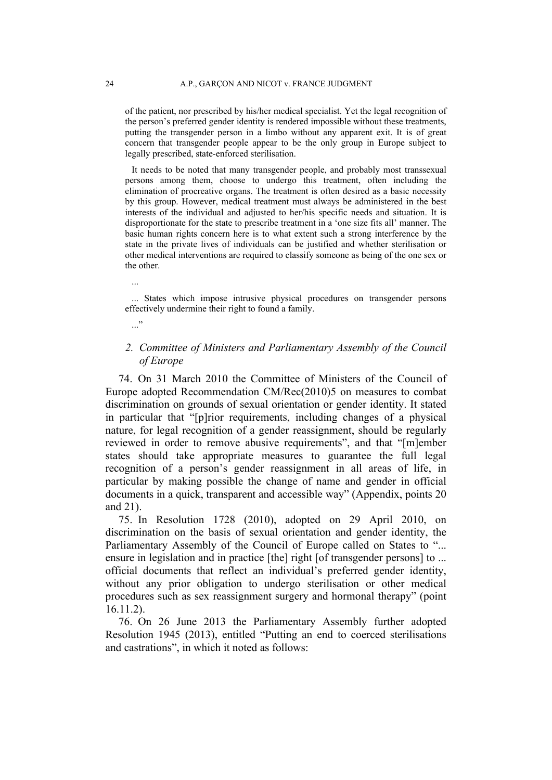of the patient, nor prescribed by his/her medical specialist. Yet the legal recognition of the person's preferred gender identity is rendered impossible without these treatments, putting the transgender person in a limbo without any apparent exit. It is of great concern that transgender people appear to be the only group in Europe subject to legally prescribed, state-enforced sterilisation.

It needs to be noted that many transgender people, and probably most transsexual persons among them, choose to undergo this treatment, often including the elimination of procreative organs. The treatment is often desired as a basic necessity by this group. However, medical treatment must always be administered in the best interests of the individual and adjusted to her/his specific needs and situation. It is disproportionate for the state to prescribe treatment in a 'one size fits all' manner. The basic human rights concern here is to what extent such a strong interference by the state in the private lives of individuals can be justified and whether sterilisation or other medical interventions are required to classify someone as being of the one sex or the other.

... States which impose intrusive physical procedures on transgender persons effectively undermine their right to found a family.

## *2. Committee of Ministers and Parliamentary Assembly of the Council of Europe*

74. On 31 March 2010 the Committee of Ministers of the Council of Europe adopted Recommendation CM/Rec(2010)5 on measures to combat discrimination on grounds of sexual orientation or gender identity. It stated in particular that "[p]rior requirements, including changes of a physical nature, for legal recognition of a gender reassignment, should be regularly reviewed in order to remove abusive requirements", and that "[m]ember states should take appropriate measures to guarantee the full legal recognition of a person's gender reassignment in all areas of life, in particular by making possible the change of name and gender in official documents in a quick, transparent and accessible way" (Appendix, points 20 and 21).

75. In Resolution 1728 (2010), adopted on 29 April 2010, on discrimination on the basis of sexual orientation and gender identity, the Parliamentary Assembly of the Council of Europe called on States to "... ensure in legislation and in practice [the] right [of transgender persons] to ... official documents that reflect an individual's preferred gender identity, without any prior obligation to undergo sterilisation or other medical procedures such as sex reassignment surgery and hormonal therapy" (point 16.11.2).

76. On 26 June 2013 the Parliamentary Assembly further adopted Resolution 1945 (2013), entitled "Putting an end to coerced sterilisations and castrations", in which it noted as follows:

...

 $\cdot$ ..."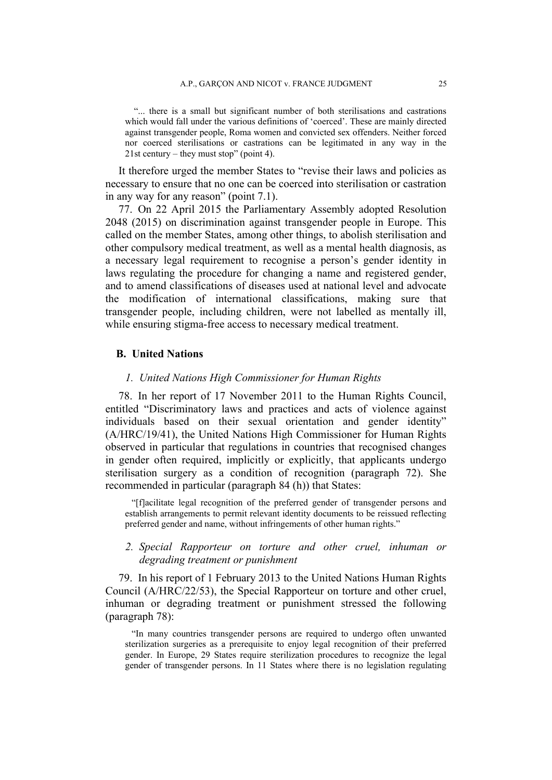"... there is a small but significant number of both sterilisations and castrations which would fall under the various definitions of 'coerced'. These are mainly directed against transgender people, Roma women and convicted sex offenders. Neither forced nor coerced sterilisations or castrations can be legitimated in any way in the 21st century – they must stop" (point 4).

It therefore urged the member States to "revise their laws and policies as necessary to ensure that no one can be coerced into sterilisation or castration in any way for any reason" (point 7.1).

77. On 22 April 2015 the Parliamentary Assembly adopted Resolution 2048 (2015) on discrimination against transgender people in Europe. This called on the member States, among other things, to abolish sterilisation and other compulsory medical treatment, as well as a mental health diagnosis, as a necessary legal requirement to recognise a person's gender identity in laws regulating the procedure for changing a name and registered gender, and to amend classifications of diseases used at national level and advocate the modification of international classifications, making sure that transgender people, including children, were not labelled as mentally ill, while ensuring stigma-free access to necessary medical treatment.

### **B. United Nations**

## *1. United Nations High Commissioner for Human Rights*

78. In her report of 17 November 2011 to the Human Rights Council, entitled "Discriminatory laws and practices and acts of violence against individuals based on their sexual orientation and gender identity" (A/HRC/19/41), the United Nations High Commissioner for Human Rights observed in particular that regulations in countries that recognised changes in gender often required, implicitly or explicitly, that applicants undergo sterilisation surgery as a condition of recognition (paragraph 72). She recommended in particular (paragraph 84 (h)) that States:

"[f]acilitate legal recognition of the preferred gender of transgender persons and establish arrangements to permit relevant identity documents to be reissued reflecting preferred gender and name, without infringements of other human rights."

## *2. Special Rapporteur on torture and other cruel, inhuman or degrading treatment or punishment*

79. In his report of 1 February 2013 to the United Nations Human Rights Council (A/HRC/22/53), the Special Rapporteur on torture and other cruel, inhuman or degrading treatment or punishment stressed the following (paragraph 78):

"In many countries transgender persons are required to undergo often unwanted sterilization surgeries as a prerequisite to enjoy legal recognition of their preferred gender. In Europe, 29 States require sterilization procedures to recognize the legal gender of transgender persons. In 11 States where there is no legislation regulating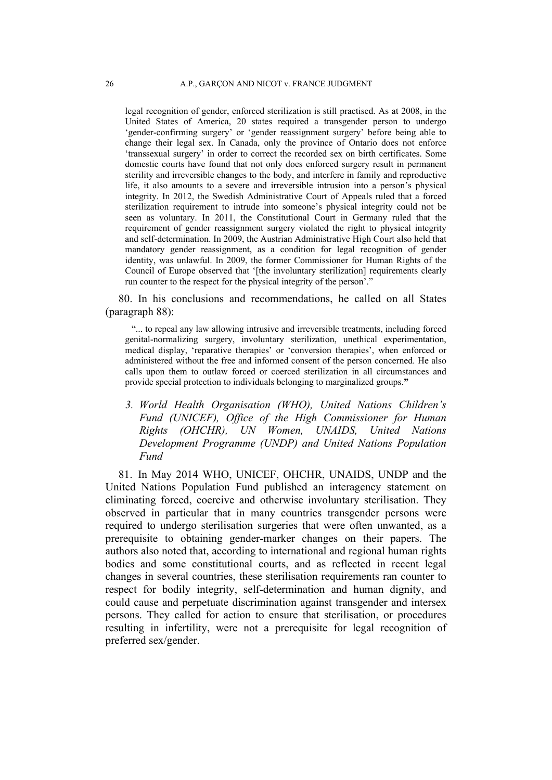legal recognition of gender, enforced sterilization is still practised. As at 2008, in the United States of America, 20 states required a transgender person to undergo 'gender-confirming surgery' or 'gender reassignment surgery' before being able to change their legal sex. In Canada, only the province of Ontario does not enforce 'transsexual surgery' in order to correct the recorded sex on birth certificates. Some domestic courts have found that not only does enforced surgery result in permanent sterility and irreversible changes to the body, and interfere in family and reproductive life, it also amounts to a severe and irreversible intrusion into a person's physical integrity. In 2012, the Swedish Administrative Court of Appeals ruled that a forced sterilization requirement to intrude into someone's physical integrity could not be seen as voluntary. In 2011, the Constitutional Court in Germany ruled that the requirement of gender reassignment surgery violated the right to physical integrity and self-determination. In 2009, the Austrian Administrative High Court also held that mandatory gender reassignment, as a condition for legal recognition of gender identity, was unlawful. In 2009, the former Commissioner for Human Rights of the Council of Europe observed that '[the involuntary sterilization] requirements clearly run counter to the respect for the physical integrity of the person'."

80. In his conclusions and recommendations, he called on all States (paragraph 88):

"... to repeal any law allowing intrusive and irreversible treatments, including forced genital-normalizing surgery, involuntary sterilization, unethical experimentation, medical display, 'reparative therapies' or 'conversion therapies', when enforced or administered without the free and informed consent of the person concerned. He also calls upon them to outlaw forced or coerced sterilization in all circumstances and provide special protection to individuals belonging to marginalized groups.**"**

*3. World Health Organisation (WHO), United Nations Children's Fund (UNICEF), Office of the High Commissioner for Human Rights (OHCHR), UN Women, UNAIDS, United Nations Development Programme (UNDP) and United Nations Population Fund*

81. In May 2014 WHO, UNICEF, OHCHR, UNAIDS, UNDP and the United Nations Population Fund published an interagency statement on eliminating forced, coercive and otherwise involuntary sterilisation. They observed in particular that in many countries transgender persons were required to undergo sterilisation surgeries that were often unwanted, as a prerequisite to obtaining gender-marker changes on their papers. The authors also noted that, according to international and regional human rights bodies and some constitutional courts, and as reflected in recent legal changes in several countries, these sterilisation requirements ran counter to respect for bodily integrity, self-determination and human dignity, and could cause and perpetuate discrimination against transgender and intersex persons. They called for action to ensure that sterilisation, or procedures resulting in infertility, were not a prerequisite for legal recognition of preferred sex/gender.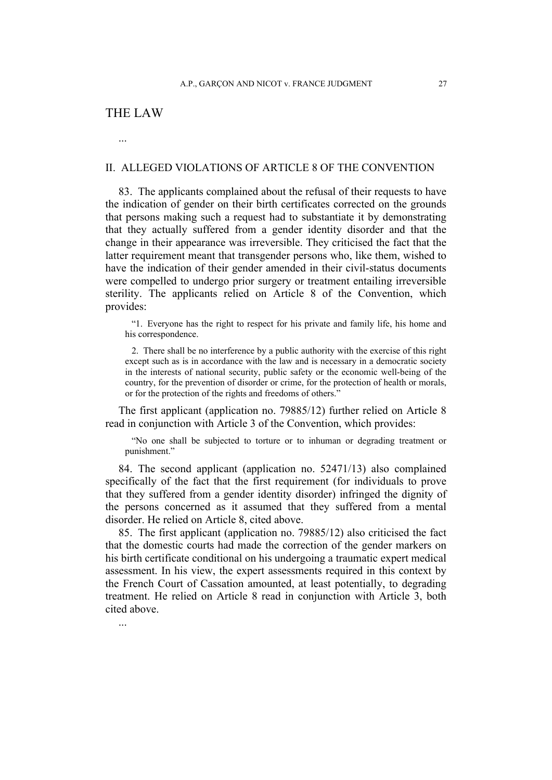# THE LAW

...

## II. ALLEGED VIOLATIONS OF ARTICLE 8 OF THE CONVENTION

83. The applicants complained about the refusal of their requests to have the indication of gender on their birth certificates corrected on the grounds that persons making such a request had to substantiate it by demonstrating that they actually suffered from a gender identity disorder and that the change in their appearance was irreversible. They criticised the fact that the latter requirement meant that transgender persons who, like them, wished to have the indication of their gender amended in their civil-status documents were compelled to undergo prior surgery or treatment entailing irreversible sterility. The applicants relied on Article 8 of the Convention, which provides:

"1. Everyone has the right to respect for his private and family life, his home and his correspondence.

2. There shall be no interference by a public authority with the exercise of this right except such as is in accordance with the law and is necessary in a democratic society in the interests of national security, public safety or the economic well-being of the country, for the prevention of disorder or crime, for the protection of health or morals, or for the protection of the rights and freedoms of others."

The first applicant (application no. 79885/12) further relied on Article 8 read in conjunction with Article 3 of the Convention, which provides:

"No one shall be subjected to torture or to inhuman or degrading treatment or punishment."

84. The second applicant (application no. 52471/13) also complained specifically of the fact that the first requirement (for individuals to prove that they suffered from a gender identity disorder) infringed the dignity of the persons concerned as it assumed that they suffered from a mental disorder. He relied on Article 8, cited above.

85. The first applicant (application no. 79885/12) also criticised the fact that the domestic courts had made the correction of the gender markers on his birth certificate conditional on his undergoing a traumatic expert medical assessment. In his view, the expert assessments required in this context by the French Court of Cassation amounted, at least potentially, to degrading treatment. He relied on Article 8 read in conjunction with Article 3, both cited above.

...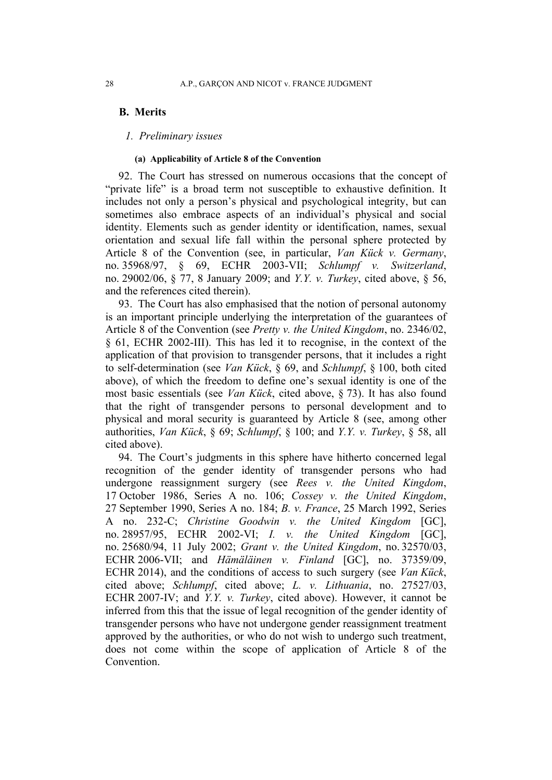## **B. Merits**

## *1. Preliminary issues*

### **(a) Applicability of Article 8 of the Convention**

92. The Court has stressed on numerous occasions that the concept of "private life" is a broad term not susceptible to exhaustive definition. It includes not only a person's physical and psychological integrity, but can sometimes also embrace aspects of an individual's physical and social identity. Elements such as gender identity or identification, names, sexual orientation and sexual life fall within the personal sphere protected by Article 8 of the Convention (see, in particular, *Van Kück v. Germany*, no. 35968/97, § 69, ECHR 2003-VII; *Schlumpf v. Switzerland*, no. 29002/06, § 77, 8 January 2009; and *Y.Y. v. Turkey*, cited above, § 56, and the references cited therein).

93. The Court has also emphasised that the notion of personal autonomy is an important principle underlying the interpretation of the guarantees of Article 8 of the Convention (see *Pretty v. the United Kingdom*, no. 2346/02, § 61, ECHR 2002-III). This has led it to recognise, in the context of the application of that provision to transgender persons, that it includes a right to self-determination (see *Van Kück*, § 69, and *Schlumpf*, § 100, both cited above), of which the freedom to define one's sexual identity is one of the most basic essentials (see *Van Kück*, cited above, § 73). It has also found that the right of transgender persons to personal development and to physical and moral security is guaranteed by Article 8 (see, among other authorities, *Van Kück*, § 69; *Schlumpf*, § 100; and *Y.Y. v. Turkey*, § 58, all cited above).

94. The Court's judgments in this sphere have hitherto concerned legal recognition of the gender identity of transgender persons who had undergone reassignment surgery (see *Rees v. the United Kingdom*, 17 October 1986, Series A no. 106; *Cossey v. the United Kingdom*, 27 September 1990, Series A no. 184; *B. v. France*, 25 March 1992, Series A no. 232-C; *Christine Goodwin v. the United Kingdom* [GC], no. 28957/95, ECHR 2002-VI; *I. v. the United Kingdom* [GC], no. 25680/94, 11 July 2002; *Grant v. the United Kingdom*, no. 32570/03, ECHR 2006-VII; and *Hämäläinen v. Finland* [GC], no. 37359/09, ECHR 2014), and the conditions of access to such surgery (see *Van Kück*, cited above; *Schlumpf*, cited above; *L. v. Lithuania*, no. 27527/03, ECHR 2007-IV; and *Y.Y. v. Turkey*, cited above). However, it cannot be inferred from this that the issue of legal recognition of the gender identity of transgender persons who have not undergone gender reassignment treatment approved by the authorities, or who do not wish to undergo such treatment, does not come within the scope of application of Article 8 of the Convention.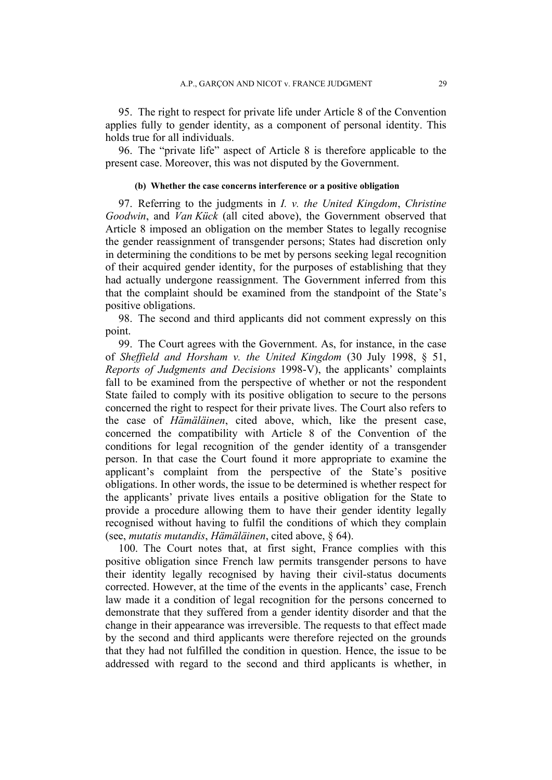95. The right to respect for private life under Article 8 of the Convention applies fully to gender identity, as a component of personal identity. This holds true for all individuals.

96. The "private life" aspect of Article 8 is therefore applicable to the present case. Moreover, this was not disputed by the Government.

### **(b) Whether the case concerns interference or a positive obligation**

97. Referring to the judgments in *I. v. the United Kingdom*, *Christine Goodwin*, and *Van Kück* (all cited above), the Government observed that Article 8 imposed an obligation on the member States to legally recognise the gender reassignment of transgender persons; States had discretion only in determining the conditions to be met by persons seeking legal recognition of their acquired gender identity, for the purposes of establishing that they had actually undergone reassignment. The Government inferred from this that the complaint should be examined from the standpoint of the State's positive obligations.

98. The second and third applicants did not comment expressly on this point.

99. The Court agrees with the Government. As, for instance, in the case of *Sheffield and Horsham v. the United Kingdom* (30 July 1998, § 51, *Reports of Judgments and Decisions* 1998-V), the applicants' complaints fall to be examined from the perspective of whether or not the respondent State failed to comply with its positive obligation to secure to the persons concerned the right to respect for their private lives. The Court also refers to the case of *Hämäläinen*, cited above, which, like the present case, concerned the compatibility with Article 8 of the Convention of the conditions for legal recognition of the gender identity of a transgender person. In that case the Court found it more appropriate to examine the applicant's complaint from the perspective of the State's positive obligations. In other words, the issue to be determined is whether respect for the applicants' private lives entails a positive obligation for the State to provide a procedure allowing them to have their gender identity legally recognised without having to fulfil the conditions of which they complain (see, *mutatis mutandis*, *Hämäläinen*, cited above, § 64).

100. The Court notes that, at first sight, France complies with this positive obligation since French law permits transgender persons to have their identity legally recognised by having their civil-status documents corrected. However, at the time of the events in the applicants' case, French law made it a condition of legal recognition for the persons concerned to demonstrate that they suffered from a gender identity disorder and that the change in their appearance was irreversible. The requests to that effect made by the second and third applicants were therefore rejected on the grounds that they had not fulfilled the condition in question. Hence, the issue to be addressed with regard to the second and third applicants is whether, in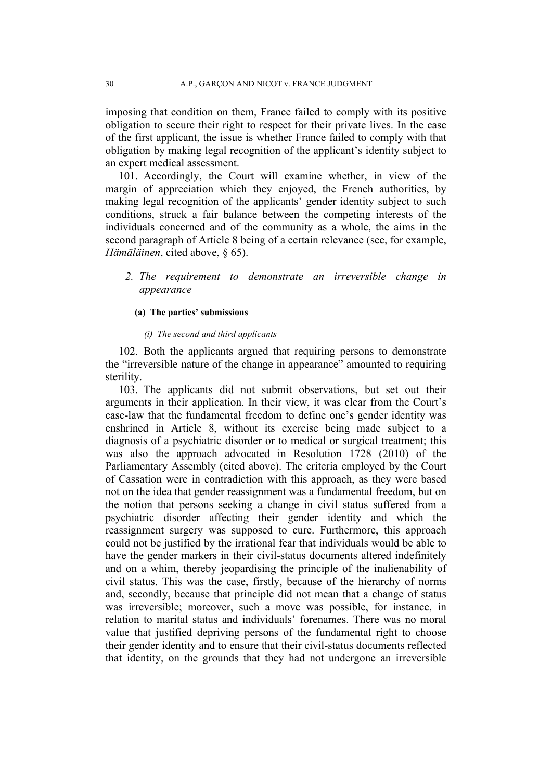imposing that condition on them, France failed to comply with its positive obligation to secure their right to respect for their private lives. In the case of the first applicant, the issue is whether France failed to comply with that obligation by making legal recognition of the applicant's identity subject to an expert medical assessment.

101. Accordingly, the Court will examine whether, in view of the margin of appreciation which they enjoyed, the French authorities, by making legal recognition of the applicants' gender identity subject to such conditions, struck a fair balance between the competing interests of the individuals concerned and of the community as a whole, the aims in the second paragraph of Article 8 being of a certain relevance (see, for example, *Hämäläinen*, cited above, § 65).

*2. The requirement to demonstrate an irreversible change in appearance*

### **(a) The parties' submissions**

### *(i) The second and third applicants*

102. Both the applicants argued that requiring persons to demonstrate the "irreversible nature of the change in appearance" amounted to requiring sterility.

103. The applicants did not submit observations, but set out their arguments in their application. In their view, it was clear from the Court's case-law that the fundamental freedom to define one's gender identity was enshrined in Article 8, without its exercise being made subject to a diagnosis of a psychiatric disorder or to medical or surgical treatment; this was also the approach advocated in Resolution 1728 (2010) of the Parliamentary Assembly (cited above). The criteria employed by the Court of Cassation were in contradiction with this approach, as they were based not on the idea that gender reassignment was a fundamental freedom, but on the notion that persons seeking a change in civil status suffered from a psychiatric disorder affecting their gender identity and which the reassignment surgery was supposed to cure. Furthermore, this approach could not be justified by the irrational fear that individuals would be able to have the gender markers in their civil-status documents altered indefinitely and on a whim, thereby jeopardising the principle of the inalienability of civil status. This was the case, firstly, because of the hierarchy of norms and, secondly, because that principle did not mean that a change of status was irreversible; moreover, such a move was possible, for instance, in relation to marital status and individuals' forenames. There was no moral value that justified depriving persons of the fundamental right to choose their gender identity and to ensure that their civil-status documents reflected that identity, on the grounds that they had not undergone an irreversible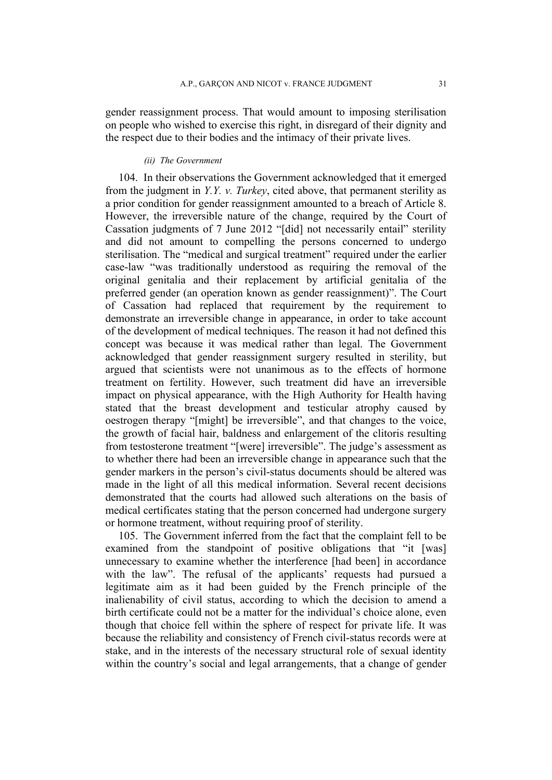gender reassignment process. That would amount to imposing sterilisation on people who wished to exercise this right, in disregard of their dignity and the respect due to their bodies and the intimacy of their private lives.

### *(ii) The Government*

104. In their observations the Government acknowledged that it emerged from the judgment in *Y.Y. v. Turkey*, cited above, that permanent sterility as a prior condition for gender reassignment amounted to a breach of Article 8. However, the irreversible nature of the change, required by the Court of Cassation judgments of 7 June 2012 "[did] not necessarily entail" sterility and did not amount to compelling the persons concerned to undergo sterilisation. The "medical and surgical treatment" required under the earlier case-law "was traditionally understood as requiring the removal of the original genitalia and their replacement by artificial genitalia of the preferred gender (an operation known as gender reassignment)". The Court of Cassation had replaced that requirement by the requirement to demonstrate an irreversible change in appearance, in order to take account of the development of medical techniques. The reason it had not defined this concept was because it was medical rather than legal. The Government acknowledged that gender reassignment surgery resulted in sterility, but argued that scientists were not unanimous as to the effects of hormone treatment on fertility. However, such treatment did have an irreversible impact on physical appearance, with the High Authority for Health having stated that the breast development and testicular atrophy caused by oestrogen therapy "[might] be irreversible", and that changes to the voice, the growth of facial hair, baldness and enlargement of the clitoris resulting from testosterone treatment "[were] irreversible". The judge's assessment as to whether there had been an irreversible change in appearance such that the gender markers in the person's civil-status documents should be altered was made in the light of all this medical information. Several recent decisions demonstrated that the courts had allowed such alterations on the basis of medical certificates stating that the person concerned had undergone surgery or hormone treatment, without requiring proof of sterility.

105. The Government inferred from the fact that the complaint fell to be examined from the standpoint of positive obligations that "it [was] unnecessary to examine whether the interference [had been] in accordance with the law". The refusal of the applicants' requests had pursued a legitimate aim as it had been guided by the French principle of the inalienability of civil status, according to which the decision to amend a birth certificate could not be a matter for the individual's choice alone, even though that choice fell within the sphere of respect for private life. It was because the reliability and consistency of French civil-status records were at stake, and in the interests of the necessary structural role of sexual identity within the country's social and legal arrangements, that a change of gender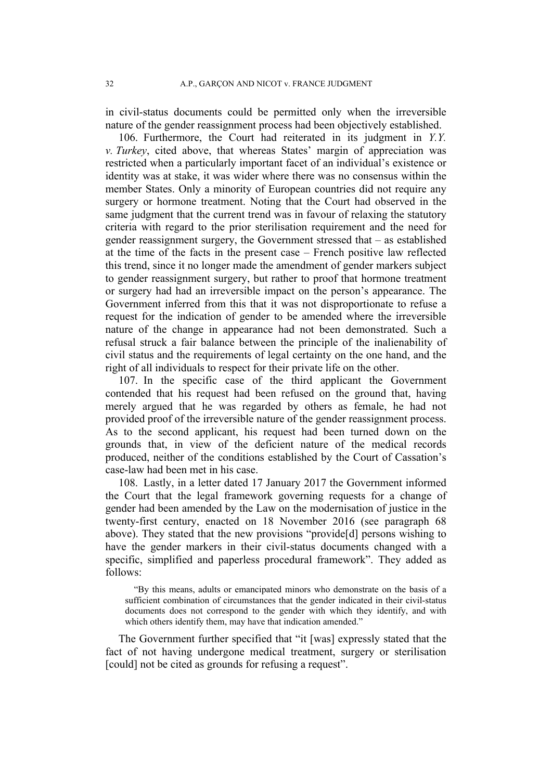in civil-status documents could be permitted only when the irreversible nature of the gender reassignment process had been objectively established.

106. Furthermore, the Court had reiterated in its judgment in *Y.Y. v. Turkey*, cited above, that whereas States' margin of appreciation was restricted when a particularly important facet of an individual's existence or identity was at stake, it was wider where there was no consensus within the member States. Only a minority of European countries did not require any surgery or hormone treatment. Noting that the Court had observed in the same judgment that the current trend was in favour of relaxing the statutory criteria with regard to the prior sterilisation requirement and the need for gender reassignment surgery, the Government stressed that – as established at the time of the facts in the present case – French positive law reflected this trend, since it no longer made the amendment of gender markers subject to gender reassignment surgery, but rather to proof that hormone treatment or surgery had had an irreversible impact on the person's appearance. The Government inferred from this that it was not disproportionate to refuse a request for the indication of gender to be amended where the irreversible nature of the change in appearance had not been demonstrated. Such a refusal struck a fair balance between the principle of the inalienability of civil status and the requirements of legal certainty on the one hand, and the right of all individuals to respect for their private life on the other.

107. In the specific case of the third applicant the Government contended that his request had been refused on the ground that, having merely argued that he was regarded by others as female, he had not provided proof of the irreversible nature of the gender reassignment process. As to the second applicant, his request had been turned down on the grounds that, in view of the deficient nature of the medical records produced, neither of the conditions established by the Court of Cassation's case-law had been met in his case.

108. Lastly, in a letter dated 17 January 2017 the Government informed the Court that the legal framework governing requests for a change of gender had been amended by the Law on the modernisation of justice in the twenty-first century, enacted on 18 November 2016 (see paragraph 68 above). They stated that the new provisions "provide[d] persons wishing to have the gender markers in their civil-status documents changed with a specific, simplified and paperless procedural framework". They added as follows:

"By this means, adults or emancipated minors who demonstrate on the basis of a sufficient combination of circumstances that the gender indicated in their civil-status documents does not correspond to the gender with which they identify, and with which others identify them, may have that indication amended."

The Government further specified that "it [was] expressly stated that the fact of not having undergone medical treatment, surgery or sterilisation [could] not be cited as grounds for refusing a request".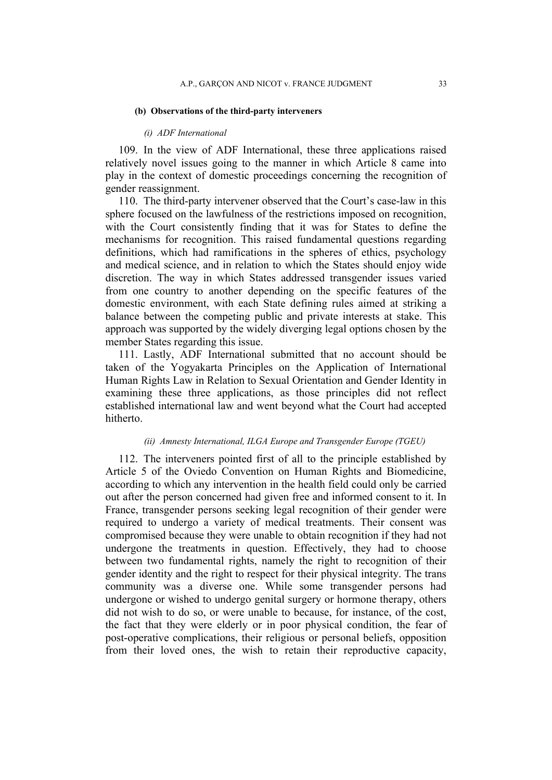#### **(b) Observations of the third-party interveners**

#### *(i) ADF International*

109. In the view of ADF International, these three applications raised relatively novel issues going to the manner in which Article 8 came into play in the context of domestic proceedings concerning the recognition of gender reassignment.

110. The third-party intervener observed that the Court's case-law in this sphere focused on the lawfulness of the restrictions imposed on recognition, with the Court consistently finding that it was for States to define the mechanisms for recognition. This raised fundamental questions regarding definitions, which had ramifications in the spheres of ethics, psychology and medical science, and in relation to which the States should enjoy wide discretion. The way in which States addressed transgender issues varied from one country to another depending on the specific features of the domestic environment, with each State defining rules aimed at striking a balance between the competing public and private interests at stake. This approach was supported by the widely diverging legal options chosen by the member States regarding this issue.

111. Lastly, ADF International submitted that no account should be taken of the Yogyakarta Principles on the Application of International Human Rights Law in Relation to Sexual Orientation and Gender Identity in examining these three applications, as those principles did not reflect established international law and went beyond what the Court had accepted hitherto.

### *(ii) Amnesty International, ILGA Europe and Transgender Europe (TGEU)*

112. The interveners pointed first of all to the principle established by Article 5 of the Oviedo Convention on Human Rights and Biomedicine, according to which any intervention in the health field could only be carried out after the person concerned had given free and informed consent to it. In France, transgender persons seeking legal recognition of their gender were required to undergo a variety of medical treatments. Their consent was compromised because they were unable to obtain recognition if they had not undergone the treatments in question. Effectively, they had to choose between two fundamental rights, namely the right to recognition of their gender identity and the right to respect for their physical integrity. The trans community was a diverse one. While some transgender persons had undergone or wished to undergo genital surgery or hormone therapy, others did not wish to do so, or were unable to because, for instance, of the cost, the fact that they were elderly or in poor physical condition, the fear of post-operative complications, their religious or personal beliefs, opposition from their loved ones, the wish to retain their reproductive capacity,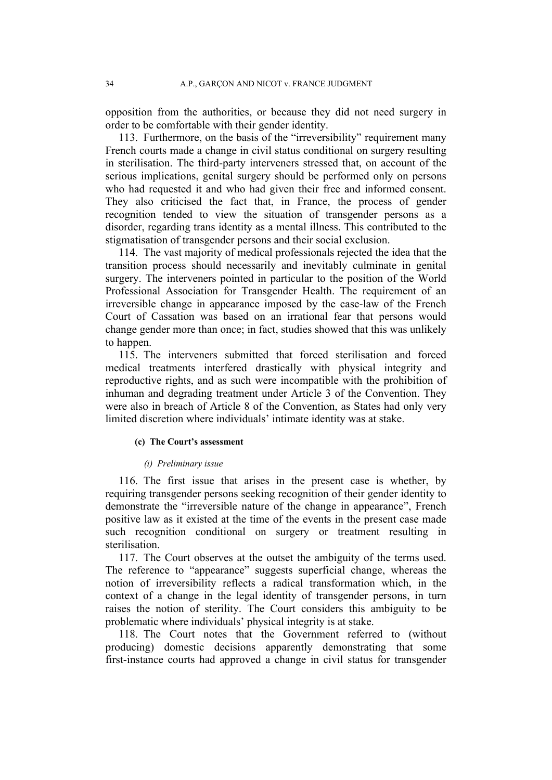opposition from the authorities, or because they did not need surgery in order to be comfortable with their gender identity.

113. Furthermore, on the basis of the "irreversibility" requirement many French courts made a change in civil status conditional on surgery resulting in sterilisation. The third-party interveners stressed that, on account of the serious implications, genital surgery should be performed only on persons who had requested it and who had given their free and informed consent. They also criticised the fact that, in France, the process of gender recognition tended to view the situation of transgender persons as a disorder, regarding trans identity as a mental illness. This contributed to the stigmatisation of transgender persons and their social exclusion.

114. The vast majority of medical professionals rejected the idea that the transition process should necessarily and inevitably culminate in genital surgery. The interveners pointed in particular to the position of the World Professional Association for Transgender Health. The requirement of an irreversible change in appearance imposed by the case-law of the French Court of Cassation was based on an irrational fear that persons would change gender more than once; in fact, studies showed that this was unlikely to happen.

115. The interveners submitted that forced sterilisation and forced medical treatments interfered drastically with physical integrity and reproductive rights, and as such were incompatible with the prohibition of inhuman and degrading treatment under Article 3 of the Convention. They were also in breach of Article 8 of the Convention, as States had only very limited discretion where individuals' intimate identity was at stake.

#### **(c) The Court's assessment**

### *(i) Preliminary issue*

116. The first issue that arises in the present case is whether, by requiring transgender persons seeking recognition of their gender identity to demonstrate the "irreversible nature of the change in appearance", French positive law as it existed at the time of the events in the present case made such recognition conditional on surgery or treatment resulting in sterilisation.

117. The Court observes at the outset the ambiguity of the terms used. The reference to "appearance" suggests superficial change, whereas the notion of irreversibility reflects a radical transformation which, in the context of a change in the legal identity of transgender persons, in turn raises the notion of sterility. The Court considers this ambiguity to be problematic where individuals' physical integrity is at stake.

118. The Court notes that the Government referred to (without producing) domestic decisions apparently demonstrating that some first-instance courts had approved a change in civil status for transgender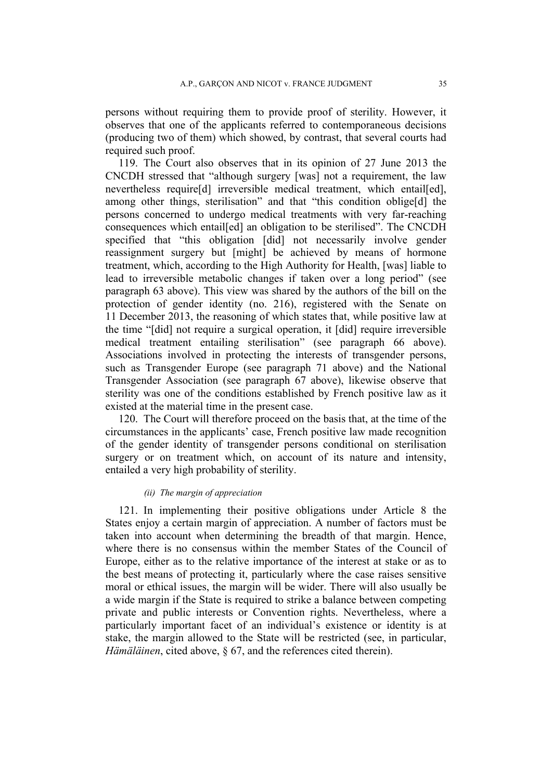persons without requiring them to provide proof of sterility. However, it observes that one of the applicants referred to contemporaneous decisions (producing two of them) which showed, by contrast, that several courts had required such proof.

119. The Court also observes that in its opinion of 27 June 2013 the CNCDH stressed that "although surgery [was] not a requirement, the law nevertheless require[d] irreversible medical treatment, which entail[ed], among other things, sterilisation" and that "this condition oblige[d] the persons concerned to undergo medical treatments with very far-reaching consequences which entail[ed] an obligation to be sterilised". The CNCDH specified that "this obligation [did] not necessarily involve gender reassignment surgery but [might] be achieved by means of hormone treatment, which, according to the High Authority for Health, [was] liable to lead to irreversible metabolic changes if taken over a long period" (see paragraph 63 above). This view was shared by the authors of the bill on the protection of gender identity (no. 216), registered with the Senate on 11 December 2013, the reasoning of which states that, while positive law at the time "[did] not require a surgical operation, it [did] require irreversible medical treatment entailing sterilisation" (see paragraph 66 above). Associations involved in protecting the interests of transgender persons, such as Transgender Europe (see paragraph 71 above) and the National Transgender Association (see paragraph 67 above), likewise observe that sterility was one of the conditions established by French positive law as it existed at the material time in the present case.

120. The Court will therefore proceed on the basis that, at the time of the circumstances in the applicants' case, French positive law made recognition of the gender identity of transgender persons conditional on sterilisation surgery or on treatment which, on account of its nature and intensity, entailed a very high probability of sterility.

## *(ii) The margin of appreciation*

121. In implementing their positive obligations under Article 8 the States enjoy a certain margin of appreciation. A number of factors must be taken into account when determining the breadth of that margin. Hence, where there is no consensus within the member States of the Council of Europe, either as to the relative importance of the interest at stake or as to the best means of protecting it, particularly where the case raises sensitive moral or ethical issues, the margin will be wider. There will also usually be a wide margin if the State is required to strike a balance between competing private and public interests or Convention rights. Nevertheless, where a particularly important facet of an individual's existence or identity is at stake, the margin allowed to the State will be restricted (see, in particular, *Hämäläinen*, cited above, § 67, and the references cited therein).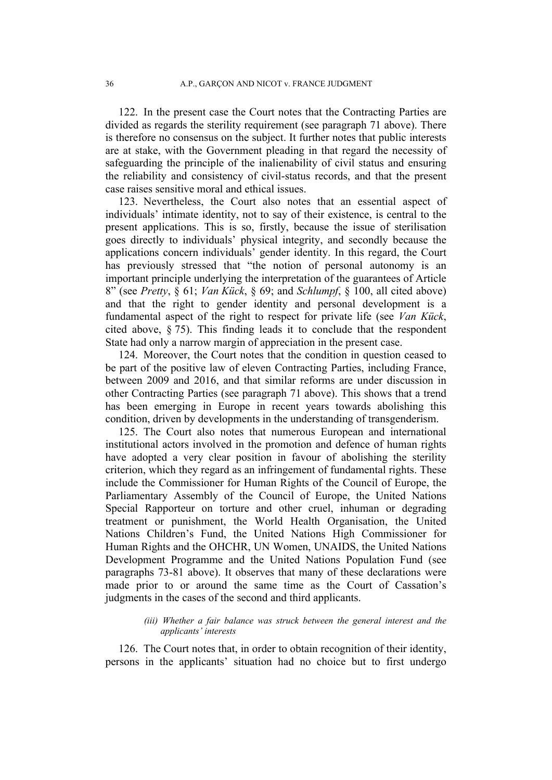122. In the present case the Court notes that the Contracting Parties are divided as regards the sterility requirement (see paragraph 71 above). There is therefore no consensus on the subject. It further notes that public interests are at stake, with the Government pleading in that regard the necessity of safeguarding the principle of the inalienability of civil status and ensuring the reliability and consistency of civil-status records, and that the present case raises sensitive moral and ethical issues.

123. Nevertheless, the Court also notes that an essential aspect of individuals' intimate identity, not to say of their existence, is central to the present applications. This is so, firstly, because the issue of sterilisation goes directly to individuals' physical integrity, and secondly because the applications concern individuals' gender identity. In this regard, the Court has previously stressed that "the notion of personal autonomy is an important principle underlying the interpretation of the guarantees of Article 8" (see *Pretty*, § 61; *Van Kück*, § 69; and *Schlumpf*, § 100, all cited above) and that the right to gender identity and personal development is a fundamental aspect of the right to respect for private life (see *Van Kück*, cited above, § 75). This finding leads it to conclude that the respondent State had only a narrow margin of appreciation in the present case.

124. Moreover, the Court notes that the condition in question ceased to be part of the positive law of eleven Contracting Parties, including France, between 2009 and 2016, and that similar reforms are under discussion in other Contracting Parties (see paragraph 71 above). This shows that a trend has been emerging in Europe in recent years towards abolishing this condition, driven by developments in the understanding of transgenderism.

125. The Court also notes that numerous European and international institutional actors involved in the promotion and defence of human rights have adopted a very clear position in favour of abolishing the sterility criterion, which they regard as an infringement of fundamental rights. These include the Commissioner for Human Rights of the Council of Europe, the Parliamentary Assembly of the Council of Europe, the United Nations Special Rapporteur on torture and other cruel, inhuman or degrading treatment or punishment, the World Health Organisation, the United Nations Children's Fund, the United Nations High Commissioner for Human Rights and the OHCHR, UN Women, UNAIDS, the United Nations Development Programme and the United Nations Population Fund (see paragraphs 73-81 above). It observes that many of these declarations were made prior to or around the same time as the Court of Cassation's judgments in the cases of the second and third applicants.

### *(iii) Whether a fair balance was struck between the general interest and the applicants' interests*

126. The Court notes that, in order to obtain recognition of their identity, persons in the applicants' situation had no choice but to first undergo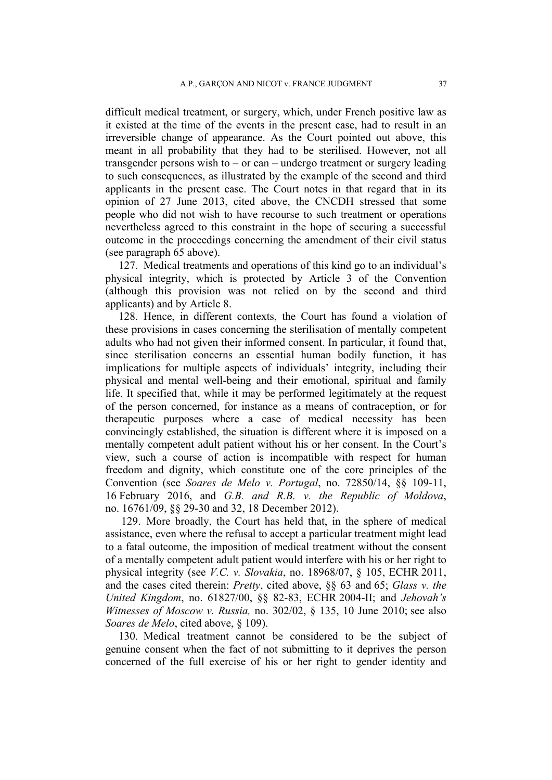difficult medical treatment, or surgery, which, under French positive law as it existed at the time of the events in the present case, had to result in an irreversible change of appearance. As the Court pointed out above, this meant in all probability that they had to be sterilised. However, not all transgender persons wish to – or can – undergo treatment or surgery leading to such consequences, as illustrated by the example of the second and third applicants in the present case. The Court notes in that regard that in its opinion of 27 June 2013, cited above, the CNCDH stressed that some people who did not wish to have recourse to such treatment or operations nevertheless agreed to this constraint in the hope of securing a successful outcome in the proceedings concerning the amendment of their civil status (see paragraph 65 above).

127. Medical treatments and operations of this kind go to an individual's physical integrity, which is protected by Article 3 of the Convention (although this provision was not relied on by the second and third applicants) and by Article 8.

128. Hence, in different contexts, the Court has found a violation of these provisions in cases concerning the sterilisation of mentally competent adults who had not given their informed consent. In particular, it found that, since sterilisation concerns an essential human bodily function, it has implications for multiple aspects of individuals' integrity, including their physical and mental well-being and their emotional, spiritual and family life. It specified that, while it may be performed legitimately at the request of the person concerned, for instance as a means of contraception, or for therapeutic purposes where a case of medical necessity has been convincingly established, the situation is different where it is imposed on a mentally competent adult patient without his or her consent. In the Court's view, such a course of action is incompatible with respect for human freedom and dignity, which constitute one of the core principles of the Convention (see *Soares de Melo v. Portugal*, no. 72850/14, §§ 109-11, 16 February 2016, and *G.B. and R.B. v. the Republic of Moldova*, no. 16761/09, §§ 29-30 and 32, 18 December 2012).

129. More broadly, the Court has held that, in the sphere of medical assistance, even where the refusal to accept a particular treatment might lead to a fatal outcome, the imposition of medical treatment without the consent of a mentally competent adult patient would interfere with his or her right to physical integrity (see *V.C. v. Slovakia*, no. 18968/07, § 105, ECHR 2011, and the cases cited therein: *Pretty*, cited above, §§ 63 and 65; *Glass v. the United Kingdom*, no. 61827/00, §§ 82-83, ECHR 2004-II; and *Jehovah's Witnesses of Moscow v. Russia,* no. 302/02, § 135, 10 June 2010; see also *Soares de Melo*, cited above, § 109).

130. Medical treatment cannot be considered to be the subject of genuine consent when the fact of not submitting to it deprives the person concerned of the full exercise of his or her right to gender identity and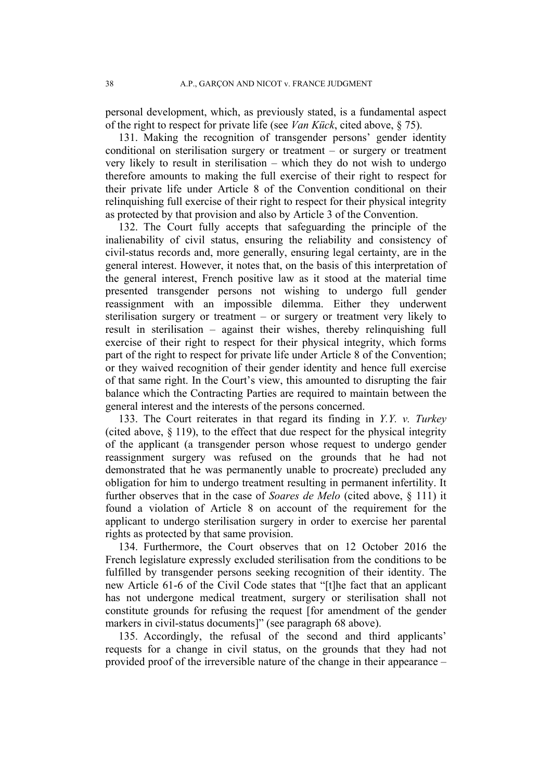personal development, which, as previously stated, is a fundamental aspect of the right to respect for private life (see *Van Kück*, cited above, § 75).

131. Making the recognition of transgender persons' gender identity conditional on sterilisation surgery or treatment – or surgery or treatment very likely to result in sterilisation – which they do not wish to undergo therefore amounts to making the full exercise of their right to respect for their private life under Article 8 of the Convention conditional on their relinquishing full exercise of their right to respect for their physical integrity as protected by that provision and also by Article 3 of the Convention.

132. The Court fully accepts that safeguarding the principle of the inalienability of civil status, ensuring the reliability and consistency of civil-status records and, more generally, ensuring legal certainty, are in the general interest. However, it notes that, on the basis of this interpretation of the general interest, French positive law as it stood at the material time presented transgender persons not wishing to undergo full gender reassignment with an impossible dilemma. Either they underwent sterilisation surgery or treatment – or surgery or treatment very likely to result in sterilisation – against their wishes, thereby relinquishing full exercise of their right to respect for their physical integrity, which forms part of the right to respect for private life under Article 8 of the Convention; or they waived recognition of their gender identity and hence full exercise of that same right. In the Court's view, this amounted to disrupting the fair balance which the Contracting Parties are required to maintain between the general interest and the interests of the persons concerned.

133. The Court reiterates in that regard its finding in *Y.Y. v. Turkey* (cited above,  $\S$  119), to the effect that due respect for the physical integrity of the applicant (a transgender person whose request to undergo gender reassignment surgery was refused on the grounds that he had not demonstrated that he was permanently unable to procreate) precluded any obligation for him to undergo treatment resulting in permanent infertility. It further observes that in the case of *Soares de Melo* (cited above, § 111) it found a violation of Article 8 on account of the requirement for the applicant to undergo sterilisation surgery in order to exercise her parental rights as protected by that same provision.

134. Furthermore, the Court observes that on 12 October 2016 the French legislature expressly excluded sterilisation from the conditions to be fulfilled by transgender persons seeking recognition of their identity. The new Article 61-6 of the Civil Code states that "[t]he fact that an applicant has not undergone medical treatment, surgery or sterilisation shall not constitute grounds for refusing the request [for amendment of the gender markers in civil-status documents]" (see paragraph 68 above).

135. Accordingly, the refusal of the second and third applicants' requests for a change in civil status, on the grounds that they had not provided proof of the irreversible nature of the change in their appearance –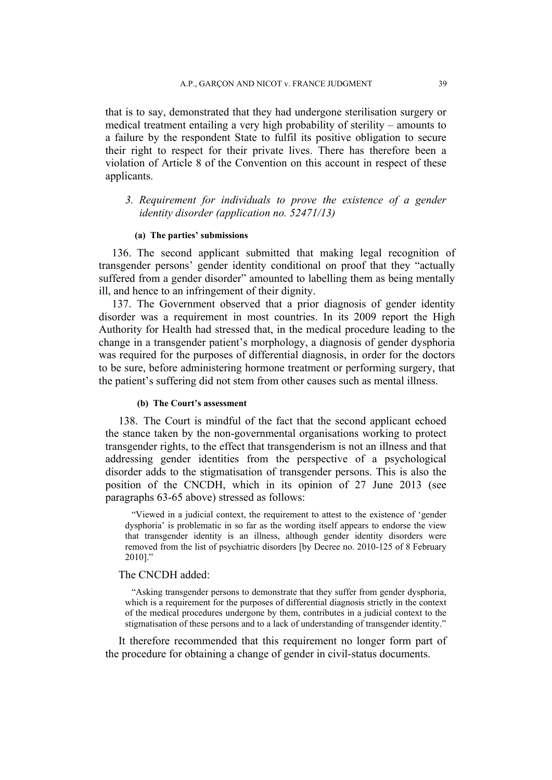that is to say, demonstrated that they had undergone sterilisation surgery or medical treatment entailing a very high probability of sterility – amounts to a failure by the respondent State to fulfil its positive obligation to secure their right to respect for their private lives. There has therefore been a violation of Article 8 of the Convention on this account in respect of these applicants.

## *3. Requirement for individuals to prove the existence of a gender identity disorder (application no. 52471/13)*

### **(a) The parties' submissions**

136. The second applicant submitted that making legal recognition of transgender persons' gender identity conditional on proof that they "actually suffered from a gender disorder" amounted to labelling them as being mentally ill, and hence to an infringement of their dignity.

137. The Government observed that a prior diagnosis of gender identity disorder was a requirement in most countries. In its 2009 report the High Authority for Health had stressed that, in the medical procedure leading to the change in a transgender patient's morphology, a diagnosis of gender dysphoria was required for the purposes of differential diagnosis, in order for the doctors to be sure, before administering hormone treatment or performing surgery, that the patient's suffering did not stem from other causes such as mental illness.

### **(b) The Court's assessment**

138. The Court is mindful of the fact that the second applicant echoed the stance taken by the non-governmental organisations working to protect transgender rights, to the effect that transgenderism is not an illness and that addressing gender identities from the perspective of a psychological disorder adds to the stigmatisation of transgender persons. This is also the position of the CNCDH, which in its opinion of 27 June 2013 (see paragraphs 63-65 above) stressed as follows:

"Viewed in a judicial context, the requirement to attest to the existence of 'gender dysphoria' is problematic in so far as the wording itself appears to endorse the view that transgender identity is an illness, although gender identity disorders were removed from the list of psychiatric disorders [by Decree no. 2010-125 of 8 February 2010]."

## The CNCDH added:

"Asking transgender persons to demonstrate that they suffer from gender dysphoria, which is a requirement for the purposes of differential diagnosis strictly in the context of the medical procedures undergone by them, contributes in a judicial context to the stigmatisation of these persons and to a lack of understanding of transgender identity."

It therefore recommended that this requirement no longer form part of the procedure for obtaining a change of gender in civil-status documents.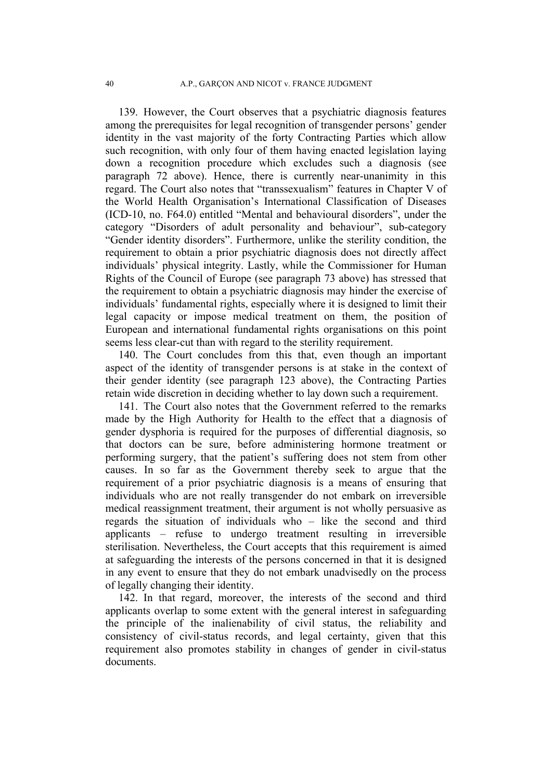139. However, the Court observes that a psychiatric diagnosis features among the prerequisites for legal recognition of transgender persons' gender identity in the vast majority of the forty Contracting Parties which allow such recognition, with only four of them having enacted legislation laying down a recognition procedure which excludes such a diagnosis (see paragraph 72 above). Hence, there is currently near-unanimity in this regard. The Court also notes that "transsexualism" features in Chapter V of the World Health Organisation's International Classification of Diseases (ICD-10, no. F64.0) entitled "Mental and behavioural disorders", under the category "Disorders of adult personality and behaviour", sub-category "Gender identity disorders". Furthermore, unlike the sterility condition, the requirement to obtain a prior psychiatric diagnosis does not directly affect individuals' physical integrity. Lastly, while the Commissioner for Human Rights of the Council of Europe (see paragraph 73 above) has stressed that the requirement to obtain a psychiatric diagnosis may hinder the exercise of individuals' fundamental rights, especially where it is designed to limit their legal capacity or impose medical treatment on them, the position of European and international fundamental rights organisations on this point seems less clear-cut than with regard to the sterility requirement.

140. The Court concludes from this that, even though an important aspect of the identity of transgender persons is at stake in the context of their gender identity (see paragraph 123 above), the Contracting Parties retain wide discretion in deciding whether to lay down such a requirement.

141. The Court also notes that the Government referred to the remarks made by the High Authority for Health to the effect that a diagnosis of gender dysphoria is required for the purposes of differential diagnosis, so that doctors can be sure, before administering hormone treatment or performing surgery, that the patient's suffering does not stem from other causes. In so far as the Government thereby seek to argue that the requirement of a prior psychiatric diagnosis is a means of ensuring that individuals who are not really transgender do not embark on irreversible medical reassignment treatment, their argument is not wholly persuasive as regards the situation of individuals who – like the second and third applicants – refuse to undergo treatment resulting in irreversible sterilisation. Nevertheless, the Court accepts that this requirement is aimed at safeguarding the interests of the persons concerned in that it is designed in any event to ensure that they do not embark unadvisedly on the process of legally changing their identity.

142. In that regard, moreover, the interests of the second and third applicants overlap to some extent with the general interest in safeguarding the principle of the inalienability of civil status, the reliability and consistency of civil-status records, and legal certainty, given that this requirement also promotes stability in changes of gender in civil-status documents.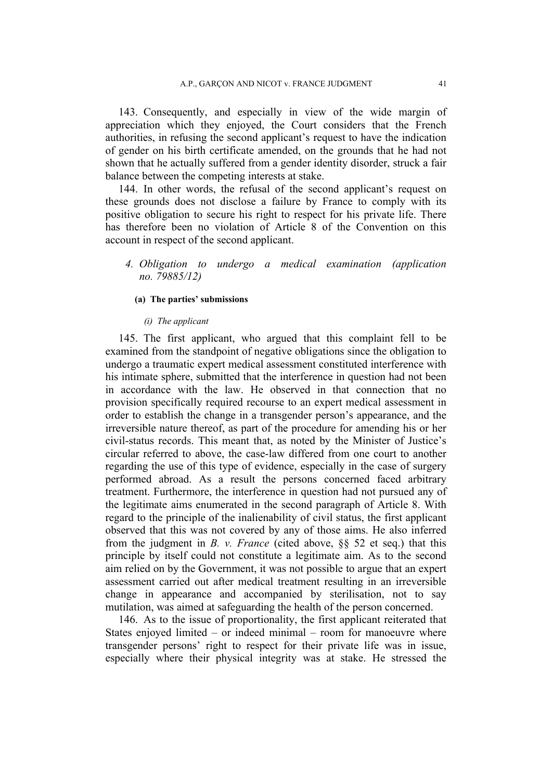143. Consequently, and especially in view of the wide margin of appreciation which they enjoyed, the Court considers that the French authorities, in refusing the second applicant's request to have the indication of gender on his birth certificate amended, on the grounds that he had not shown that he actually suffered from a gender identity disorder, struck a fair balance between the competing interests at stake.

144. In other words, the refusal of the second applicant's request on these grounds does not disclose a failure by France to comply with its positive obligation to secure his right to respect for his private life. There has therefore been no violation of Article 8 of the Convention on this account in respect of the second applicant.

*4. Obligation to undergo a medical examination (application no. 79885/12)*

### **(a) The parties' submissions**

### *(i) The applicant*

145. The first applicant, who argued that this complaint fell to be examined from the standpoint of negative obligations since the obligation to undergo a traumatic expert medical assessment constituted interference with his intimate sphere, submitted that the interference in question had not been in accordance with the law. He observed in that connection that no provision specifically required recourse to an expert medical assessment in order to establish the change in a transgender person's appearance, and the irreversible nature thereof, as part of the procedure for amending his or her civil-status records. This meant that, as noted by the Minister of Justice's circular referred to above, the case-law differed from one court to another regarding the use of this type of evidence, especially in the case of surgery performed abroad. As a result the persons concerned faced arbitrary treatment. Furthermore, the interference in question had not pursued any of the legitimate aims enumerated in the second paragraph of Article 8. With regard to the principle of the inalienability of civil status, the first applicant observed that this was not covered by any of those aims. He also inferred from the judgment in *B. v. France* (cited above, §§ 52 et seq.) that this principle by itself could not constitute a legitimate aim. As to the second aim relied on by the Government, it was not possible to argue that an expert assessment carried out after medical treatment resulting in an irreversible change in appearance and accompanied by sterilisation, not to say mutilation, was aimed at safeguarding the health of the person concerned.

146. As to the issue of proportionality, the first applicant reiterated that States enjoyed limited – or indeed minimal – room for manoeuvre where transgender persons' right to respect for their private life was in issue, especially where their physical integrity was at stake. He stressed the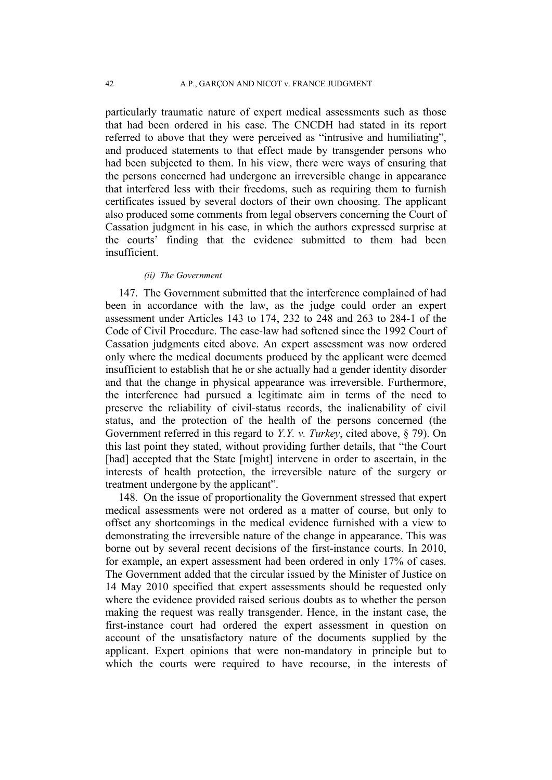particularly traumatic nature of expert medical assessments such as those that had been ordered in his case. The CNCDH had stated in its report referred to above that they were perceived as "intrusive and humiliating", and produced statements to that effect made by transgender persons who had been subjected to them. In his view, there were ways of ensuring that the persons concerned had undergone an irreversible change in appearance that interfered less with their freedoms, such as requiring them to furnish certificates issued by several doctors of their own choosing. The applicant also produced some comments from legal observers concerning the Court of Cassation judgment in his case, in which the authors expressed surprise at the courts' finding that the evidence submitted to them had been insufficient.

#### *(ii) The Government*

147. The Government submitted that the interference complained of had been in accordance with the law, as the judge could order an expert assessment under Articles 143 to 174, 232 to 248 and 263 to 284-1 of the Code of Civil Procedure. The case-law had softened since the 1992 Court of Cassation judgments cited above. An expert assessment was now ordered only where the medical documents produced by the applicant were deemed insufficient to establish that he or she actually had a gender identity disorder and that the change in physical appearance was irreversible. Furthermore, the interference had pursued a legitimate aim in terms of the need to preserve the reliability of civil-status records, the inalienability of civil status, and the protection of the health of the persons concerned (the Government referred in this regard to *Y.Y. v. Turkey*, cited above, § 79). On this last point they stated, without providing further details, that "the Court [had] accepted that the State [might] intervene in order to ascertain, in the interests of health protection, the irreversible nature of the surgery or treatment undergone by the applicant".

148. On the issue of proportionality the Government stressed that expert medical assessments were not ordered as a matter of course, but only to offset any shortcomings in the medical evidence furnished with a view to demonstrating the irreversible nature of the change in appearance. This was borne out by several recent decisions of the first-instance courts. In 2010, for example, an expert assessment had been ordered in only 17% of cases. The Government added that the circular issued by the Minister of Justice on 14 May 2010 specified that expert assessments should be requested only where the evidence provided raised serious doubts as to whether the person making the request was really transgender. Hence, in the instant case, the first-instance court had ordered the expert assessment in question on account of the unsatisfactory nature of the documents supplied by the applicant. Expert opinions that were non-mandatory in principle but to which the courts were required to have recourse, in the interests of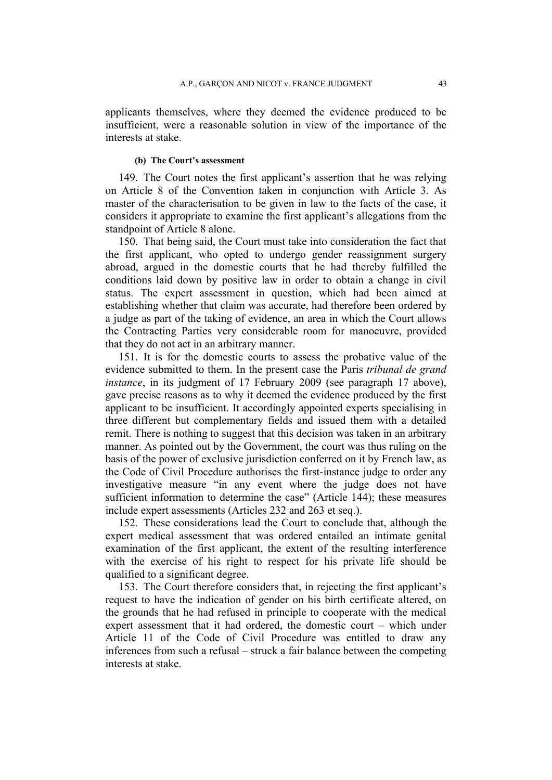applicants themselves, where they deemed the evidence produced to be insufficient, were a reasonable solution in view of the importance of the interests at stake.

### **(b) The Court's assessment**

149. The Court notes the first applicant's assertion that he was relying on Article 8 of the Convention taken in conjunction with Article 3. As master of the characterisation to be given in law to the facts of the case, it considers it appropriate to examine the first applicant's allegations from the standpoint of Article 8 alone.

150. That being said, the Court must take into consideration the fact that the first applicant, who opted to undergo gender reassignment surgery abroad, argued in the domestic courts that he had thereby fulfilled the conditions laid down by positive law in order to obtain a change in civil status. The expert assessment in question, which had been aimed at establishing whether that claim was accurate, had therefore been ordered by a judge as part of the taking of evidence, an area in which the Court allows the Contracting Parties very considerable room for manoeuvre, provided that they do not act in an arbitrary manner.

151. It is for the domestic courts to assess the probative value of the evidence submitted to them. In the present case the Paris *tribunal de grand instance*, in its judgment of 17 February 2009 (see paragraph 17 above), gave precise reasons as to why it deemed the evidence produced by the first applicant to be insufficient. It accordingly appointed experts specialising in three different but complementary fields and issued them with a detailed remit. There is nothing to suggest that this decision was taken in an arbitrary manner. As pointed out by the Government, the court was thus ruling on the basis of the power of exclusive jurisdiction conferred on it by French law, as the Code of Civil Procedure authorises the first-instance judge to order any investigative measure "in any event where the judge does not have sufficient information to determine the case" (Article 144); these measures include expert assessments (Articles 232 and 263 et seq.).

152. These considerations lead the Court to conclude that, although the expert medical assessment that was ordered entailed an intimate genital examination of the first applicant, the extent of the resulting interference with the exercise of his right to respect for his private life should be qualified to a significant degree.

153. The Court therefore considers that, in rejecting the first applicant's request to have the indication of gender on his birth certificate altered, on the grounds that he had refused in principle to cooperate with the medical expert assessment that it had ordered, the domestic court – which under Article 11 of the Code of Civil Procedure was entitled to draw any inferences from such a refusal – struck a fair balance between the competing interests at stake.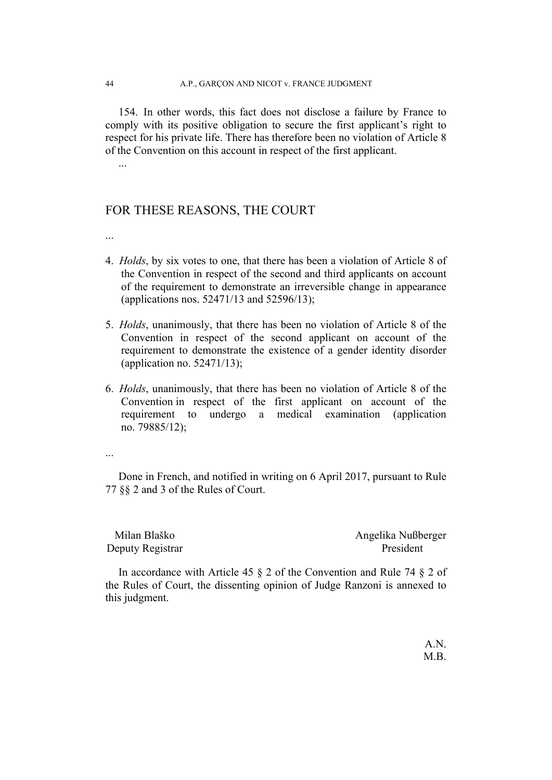154. In other words, this fact does not disclose a failure by France to comply with its positive obligation to secure the first applicant's right to respect for his private life. There has therefore been no violation of Article 8 of the Convention on this account in respect of the first applicant.

## FOR THESE REASONS, THE COURT

...

...

- 4. *Holds*, by six votes to one, that there has been a violation of Article 8 of the Convention in respect of the second and third applicants on account of the requirement to demonstrate an irreversible change in appearance (applications nos. 52471/13 and 52596/13);
- 5. *Holds*, unanimously, that there has been no violation of Article 8 of the Convention in respect of the second applicant on account of the requirement to demonstrate the existence of a gender identity disorder (application no.  $52471/13$ );
- 6. *Holds*, unanimously, that there has been no violation of Article 8 of the Convention in respect of the first applicant on account of the requirement to undergo a medical examination (application no. 79885/12);
- ...

Done in French, and notified in writing on 6 April 2017, pursuant to Rule 77 §§ 2 and 3 of the Rules of Court.

| Milan Blaško     | Angelika Nußberger |
|------------------|--------------------|
| Deputy Registrar | President          |

In accordance with Article 45 § 2 of the Convention and Rule 74 § 2 of the Rules of Court, the dissenting opinion of Judge Ranzoni is annexed to this judgment.

> A.N. M.B.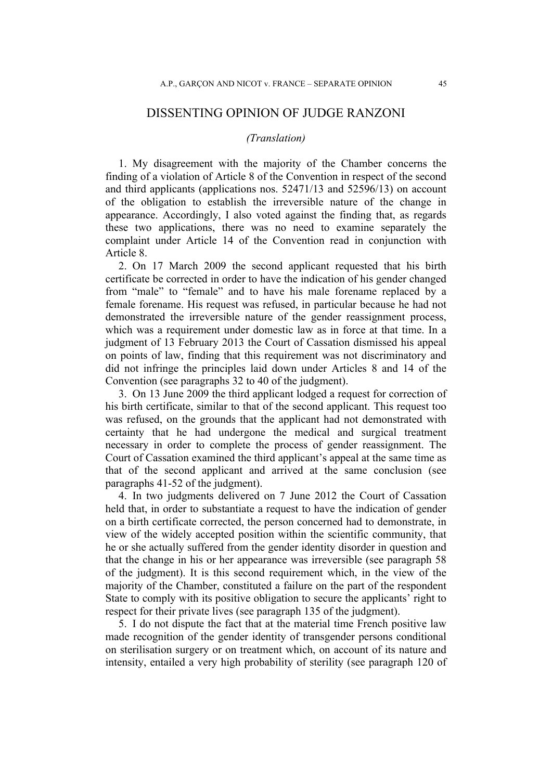## DISSENTING OPINION OF JUDGE RANZONI

## *(Translation)*

1. My disagreement with the majority of the Chamber concerns the finding of a violation of Article 8 of the Convention in respect of the second and third applicants (applications nos. 52471/13 and 52596/13) on account of the obligation to establish the irreversible nature of the change in appearance. Accordingly, I also voted against the finding that, as regards these two applications, there was no need to examine separately the complaint under Article 14 of the Convention read in conjunction with Article 8.

2. On 17 March 2009 the second applicant requested that his birth certificate be corrected in order to have the indication of his gender changed from "male" to "female" and to have his male forename replaced by a female forename. His request was refused, in particular because he had not demonstrated the irreversible nature of the gender reassignment process, which was a requirement under domestic law as in force at that time. In a judgment of 13 February 2013 the Court of Cassation dismissed his appeal on points of law, finding that this requirement was not discriminatory and did not infringe the principles laid down under Articles 8 and 14 of the Convention (see paragraphs 32 to 40 of the judgment).

3. On 13 June 2009 the third applicant lodged a request for correction of his birth certificate, similar to that of the second applicant. This request too was refused, on the grounds that the applicant had not demonstrated with certainty that he had undergone the medical and surgical treatment necessary in order to complete the process of gender reassignment. The Court of Cassation examined the third applicant's appeal at the same time as that of the second applicant and arrived at the same conclusion (see paragraphs 41-52 of the judgment).

4. In two judgments delivered on 7 June 2012 the Court of Cassation held that, in order to substantiate a request to have the indication of gender on a birth certificate corrected, the person concerned had to demonstrate, in view of the widely accepted position within the scientific community, that he or she actually suffered from the gender identity disorder in question and that the change in his or her appearance was irreversible (see paragraph 58 of the judgment). It is this second requirement which, in the view of the majority of the Chamber, constituted a failure on the part of the respondent State to comply with its positive obligation to secure the applicants' right to respect for their private lives (see paragraph 135 of the judgment).

5. I do not dispute the fact that at the material time French positive law made recognition of the gender identity of transgender persons conditional on sterilisation surgery or on treatment which, on account of its nature and intensity, entailed a very high probability of sterility (see paragraph 120 of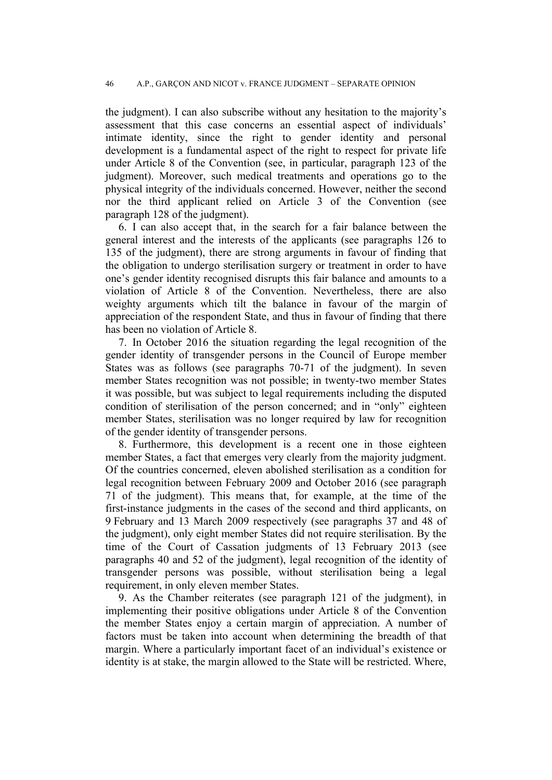the judgment). I can also subscribe without any hesitation to the majority's assessment that this case concerns an essential aspect of individuals' intimate identity, since the right to gender identity and personal development is a fundamental aspect of the right to respect for private life under Article 8 of the Convention (see, in particular, paragraph 123 of the judgment). Moreover, such medical treatments and operations go to the physical integrity of the individuals concerned. However, neither the second nor the third applicant relied on Article 3 of the Convention (see paragraph 128 of the judgment).

6. I can also accept that, in the search for a fair balance between the general interest and the interests of the applicants (see paragraphs 126 to 135 of the judgment), there are strong arguments in favour of finding that the obligation to undergo sterilisation surgery or treatment in order to have one's gender identity recognised disrupts this fair balance and amounts to a violation of Article 8 of the Convention. Nevertheless, there are also weighty arguments which tilt the balance in favour of the margin of appreciation of the respondent State, and thus in favour of finding that there has been no violation of Article 8.

7. In October 2016 the situation regarding the legal recognition of the gender identity of transgender persons in the Council of Europe member States was as follows (see paragraphs 70-71 of the judgment). In seven member States recognition was not possible; in twenty-two member States it was possible, but was subject to legal requirements including the disputed condition of sterilisation of the person concerned; and in "only" eighteen member States, sterilisation was no longer required by law for recognition of the gender identity of transgender persons.

8. Furthermore, this development is a recent one in those eighteen member States, a fact that emerges very clearly from the majority judgment. Of the countries concerned, eleven abolished sterilisation as a condition for legal recognition between February 2009 and October 2016 (see paragraph 71 of the judgment). This means that, for example, at the time of the first-instance judgments in the cases of the second and third applicants, on 9 February and 13 March 2009 respectively (see paragraphs 37 and 48 of the judgment), only eight member States did not require sterilisation. By the time of the Court of Cassation judgments of 13 February 2013 (see paragraphs 40 and 52 of the judgment), legal recognition of the identity of transgender persons was possible, without sterilisation being a legal requirement, in only eleven member States.

9. As the Chamber reiterates (see paragraph 121 of the judgment), in implementing their positive obligations under Article 8 of the Convention the member States enjoy a certain margin of appreciation. A number of factors must be taken into account when determining the breadth of that margin. Where a particularly important facet of an individual's existence or identity is at stake, the margin allowed to the State will be restricted. Where,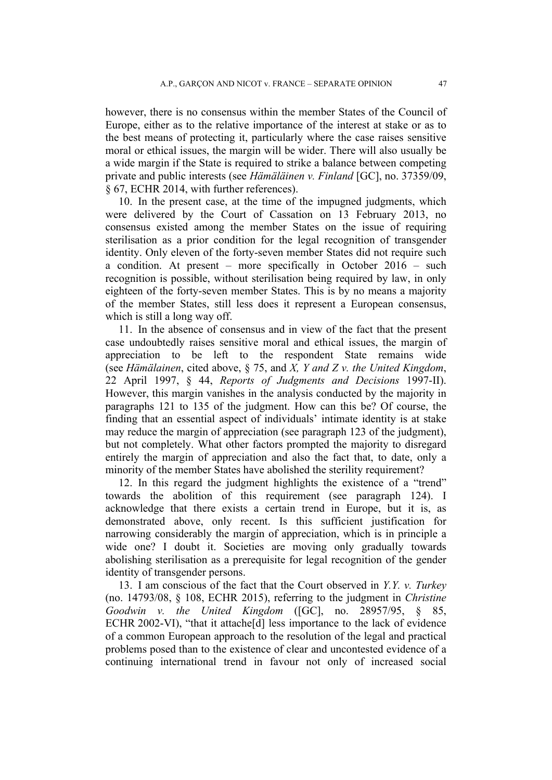however, there is no consensus within the member States of the Council of Europe, either as to the relative importance of the interest at stake or as to the best means of protecting it, particularly where the case raises sensitive moral or ethical issues, the margin will be wider. There will also usually be a wide margin if the State is required to strike a balance between competing private and public interests (see *Hämäläinen v. Finland* [GC], no. 37359/09, § 67, ECHR 2014, with further references).

10. In the present case, at the time of the impugned judgments, which were delivered by the Court of Cassation on 13 February 2013, no consensus existed among the member States on the issue of requiring sterilisation as a prior condition for the legal recognition of transgender identity. Only eleven of the forty-seven member States did not require such a condition. At present – more specifically in October 2016 – such recognition is possible, without sterilisation being required by law, in only eighteen of the forty-seven member States. This is by no means a majority of the member States, still less does it represent a European consensus, which is still a long way off.

11. In the absence of consensus and in view of the fact that the present case undoubtedly raises sensitive moral and ethical issues, the margin of appreciation to be left to the respondent State remains wide (see *Hämälainen*, cited above, § 75, and *X, Y and Z v. the United Kingdom*, 22 April 1997, § 44, *Reports of Judgments and Decisions* 1997-II). However, this margin vanishes in the analysis conducted by the majority in paragraphs 121 to 135 of the judgment. How can this be? Of course, the finding that an essential aspect of individuals' intimate identity is at stake may reduce the margin of appreciation (see paragraph 123 of the judgment), but not completely. What other factors prompted the majority to disregard entirely the margin of appreciation and also the fact that, to date, only a minority of the member States have abolished the sterility requirement?

12. In this regard the judgment highlights the existence of a "trend" towards the abolition of this requirement (see paragraph 124). I acknowledge that there exists a certain trend in Europe, but it is, as demonstrated above, only recent. Is this sufficient justification for narrowing considerably the margin of appreciation, which is in principle a wide one? I doubt it. Societies are moving only gradually towards abolishing sterilisation as a prerequisite for legal recognition of the gender identity of transgender persons.

13. I am conscious of the fact that the Court observed in *Y.Y. v. Turkey* (no. 14793/08, § 108, ECHR 2015), referring to the judgment in *Christine Goodwin v. the United Kingdom* ([GC], no. 28957/95, § 85, ECHR 2002-VI), "that it attache[d] less importance to the lack of evidence of a common European approach to the resolution of the legal and practical problems posed than to the existence of clear and uncontested evidence of a continuing international trend in favour not only of increased social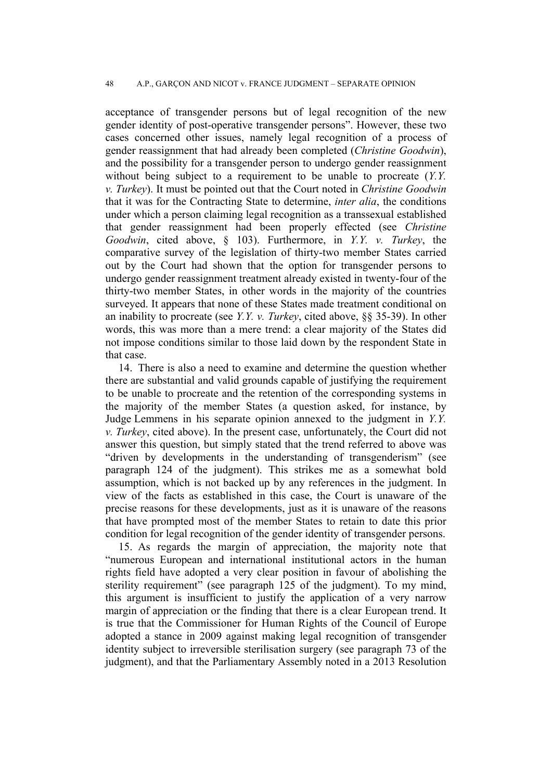acceptance of transgender persons but of legal recognition of the new gender identity of post-operative transgender persons". However, these two cases concerned other issues, namely legal recognition of a process of gender reassignment that had already been completed (*Christine Goodwin*), and the possibility for a transgender person to undergo gender reassignment without being subject to a requirement to be unable to procreate (*Y.Y. v. Turkey*). It must be pointed out that the Court noted in *Christine Goodwin* that it was for the Contracting State to determine, *inter alia*, the conditions under which a person claiming legal recognition as a transsexual established that gender reassignment had been properly effected (see *Christine Goodwin*, cited above, § 103). Furthermore, in *Y.Y. v. Turkey*, the comparative survey of the legislation of thirty-two member States carried out by the Court had shown that the option for transgender persons to undergo gender reassignment treatment already existed in twenty-four of the thirty-two member States, in other words in the majority of the countries surveyed. It appears that none of these States made treatment conditional on an inability to procreate (see *Y.Y. v. Turkey*, cited above, §§ 35-39). In other words, this was more than a mere trend: a clear majority of the States did not impose conditions similar to those laid down by the respondent State in that case.

14. There is also a need to examine and determine the question whether there are substantial and valid grounds capable of justifying the requirement to be unable to procreate and the retention of the corresponding systems in the majority of the member States (a question asked, for instance, by Judge Lemmens in his separate opinion annexed to the judgment in *Y.Y. v. Turkey*, cited above). In the present case, unfortunately, the Court did not answer this question, but simply stated that the trend referred to above was "driven by developments in the understanding of transgenderism" (see paragraph 124 of the judgment). This strikes me as a somewhat bold assumption, which is not backed up by any references in the judgment. In view of the facts as established in this case, the Court is unaware of the precise reasons for these developments, just as it is unaware of the reasons that have prompted most of the member States to retain to date this prior condition for legal recognition of the gender identity of transgender persons.

15. As regards the margin of appreciation, the majority note that "numerous European and international institutional actors in the human rights field have adopted a very clear position in favour of abolishing the sterility requirement" (see paragraph 125 of the judgment). To my mind, this argument is insufficient to justify the application of a very narrow margin of appreciation or the finding that there is a clear European trend. It is true that the Commissioner for Human Rights of the Council of Europe adopted a stance in 2009 against making legal recognition of transgender identity subject to irreversible sterilisation surgery (see paragraph 73 of the judgment), and that the Parliamentary Assembly noted in a 2013 Resolution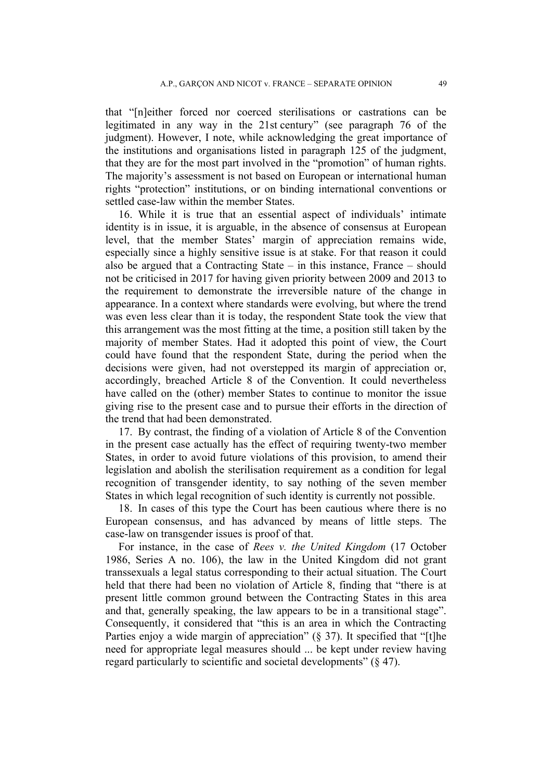that "[n]either forced nor coerced sterilisations or castrations can be legitimated in any way in the 21st century" (see paragraph 76 of the judgment). However, I note, while acknowledging the great importance of the institutions and organisations listed in paragraph 125 of the judgment, that they are for the most part involved in the "promotion" of human rights. The majority's assessment is not based on European or international human rights "protection" institutions, or on binding international conventions or settled case-law within the member States.

16. While it is true that an essential aspect of individuals' intimate identity is in issue, it is arguable, in the absence of consensus at European level, that the member States' margin of appreciation remains wide, especially since a highly sensitive issue is at stake. For that reason it could also be argued that a Contracting State – in this instance, France – should not be criticised in 2017 for having given priority between 2009 and 2013 to the requirement to demonstrate the irreversible nature of the change in appearance. In a context where standards were evolving, but where the trend was even less clear than it is today, the respondent State took the view that this arrangement was the most fitting at the time, a position still taken by the majority of member States. Had it adopted this point of view, the Court could have found that the respondent State, during the period when the decisions were given, had not overstepped its margin of appreciation or, accordingly, breached Article 8 of the Convention. It could nevertheless have called on the (other) member States to continue to monitor the issue giving rise to the present case and to pursue their efforts in the direction of the trend that had been demonstrated.

17. By contrast, the finding of a violation of Article 8 of the Convention in the present case actually has the effect of requiring twenty-two member States, in order to avoid future violations of this provision, to amend their legislation and abolish the sterilisation requirement as a condition for legal recognition of transgender identity, to say nothing of the seven member States in which legal recognition of such identity is currently not possible.

18. In cases of this type the Court has been cautious where there is no European consensus, and has advanced by means of little steps. The case-law on transgender issues is proof of that.

For instance, in the case of *Rees v. the United Kingdom* (17 October 1986, Series A no. 106), the law in the United Kingdom did not grant transsexuals a legal status corresponding to their actual situation. The Court held that there had been no violation of Article 8, finding that "there is at present little common ground between the Contracting States in this area and that, generally speaking, the law appears to be in a transitional stage". Consequently, it considered that "this is an area in which the Contracting Parties enjoy a wide margin of appreciation" (§ 37). It specified that "[t]he need for appropriate legal measures should ... be kept under review having regard particularly to scientific and societal developments" (§ 47).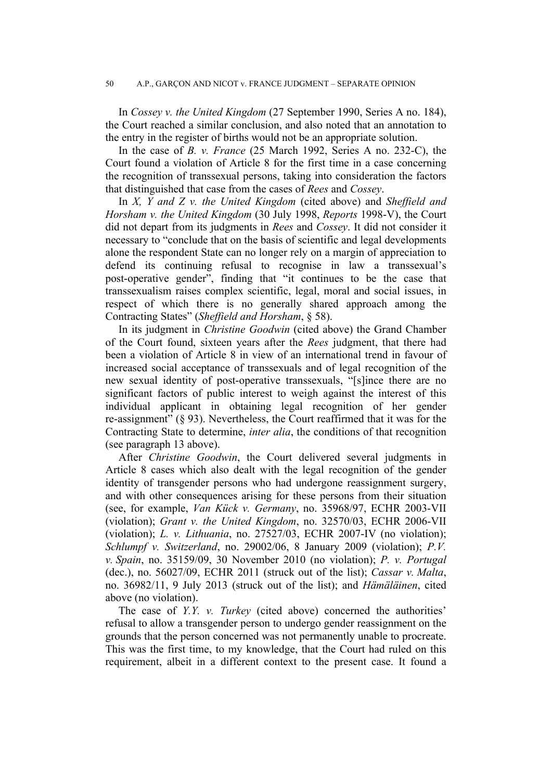In *Cossey v. the United Kingdom* (27 September 1990, Series A no. 184), the Court reached a similar conclusion, and also noted that an annotation to the entry in the register of births would not be an appropriate solution.

In the case of *B. v. France* (25 March 1992, Series A no. 232-C), the Court found a violation of Article 8 for the first time in a case concerning the recognition of transsexual persons, taking into consideration the factors that distinguished that case from the cases of *Rees* and *Cossey*.

In *X, Y and Z v. the United Kingdom* (cited above) and *Sheffield and Horsham v. the United Kingdom* (30 July 1998, *Reports* 1998-V), the Court did not depart from its judgments in *Rees* and *Cossey*. It did not consider it necessary to "conclude that on the basis of scientific and legal developments alone the respondent State can no longer rely on a margin of appreciation to defend its continuing refusal to recognise in law a transsexual's post-operative gender", finding that "it continues to be the case that transsexualism raises complex scientific, legal, moral and social issues, in respect of which there is no generally shared approach among the Contracting States" (*Sheffield and Horsham*, § 58).

In its judgment in *Christine Goodwin* (cited above) the Grand Chamber of the Court found, sixteen years after the *Rees* judgment, that there had been a violation of Article 8 in view of an international trend in favour of increased social acceptance of transsexuals and of legal recognition of the new sexual identity of post-operative transsexuals, "[s]ince there are no significant factors of public interest to weigh against the interest of this individual applicant in obtaining legal recognition of her gender re-assignment" (§ 93). Nevertheless, the Court reaffirmed that it was for the Contracting State to determine, *inter alia*, the conditions of that recognition (see paragraph 13 above).

After *Christine Goodwin*, the Court delivered several judgments in Article 8 cases which also dealt with the legal recognition of the gender identity of transgender persons who had undergone reassignment surgery, and with other consequences arising for these persons from their situation (see, for example, *Van Kück v. Germany*, no. 35968/97, ECHR 2003-VII (violation); *Grant v. the United Kingdom*, no. 32570/03, ECHR 2006-VII (violation); *L. v. Lithuania*, no. 27527/03, ECHR 2007-IV (no violation); *Schlumpf v. Switzerland*, no. 29002/06, 8 January 2009 (violation); *P.V. v. Spain*, no. 35159/09, 30 November 2010 (no violation); *P. v. Portugal* (dec.), no. 56027/09, ECHR 2011 (struck out of the list); *Cassar v. Malta*, no. 36982/11, 9 July 2013 (struck out of the list); and *Hämäläinen*, cited above (no violation).

The case of *Y.Y. v. Turkey* (cited above) concerned the authorities' refusal to allow a transgender person to undergo gender reassignment on the grounds that the person concerned was not permanently unable to procreate. This was the first time, to my knowledge, that the Court had ruled on this requirement, albeit in a different context to the present case. It found a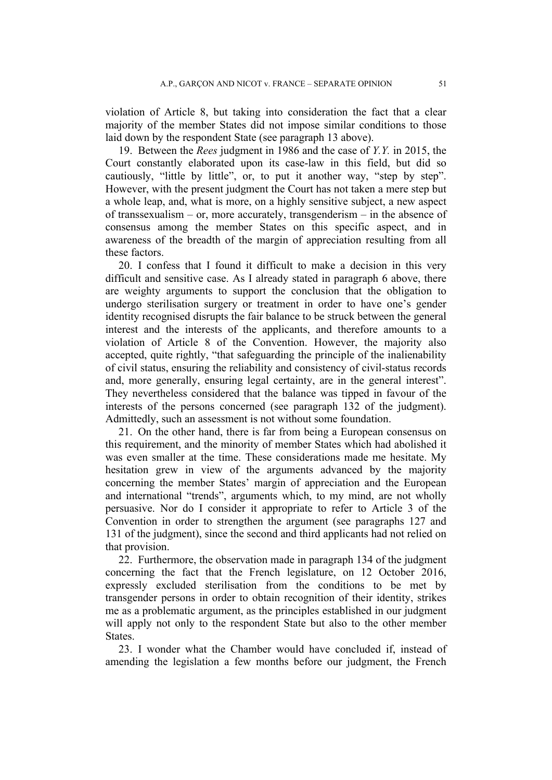violation of Article 8, but taking into consideration the fact that a clear majority of the member States did not impose similar conditions to those laid down by the respondent State (see paragraph 13 above).

19. Between the *Rees* judgment in 1986 and the case of *Y.Y.* in 2015, the Court constantly elaborated upon its case-law in this field, but did so cautiously, "little by little", or, to put it another way, "step by step". However, with the present judgment the Court has not taken a mere step but a whole leap, and, what is more, on a highly sensitive subject, a new aspect of transsexualism – or, more accurately, transgenderism – in the absence of consensus among the member States on this specific aspect, and in awareness of the breadth of the margin of appreciation resulting from all these factors.

20. I confess that I found it difficult to make a decision in this very difficult and sensitive case. As I already stated in paragraph 6 above, there are weighty arguments to support the conclusion that the obligation to undergo sterilisation surgery or treatment in order to have one's gender identity recognised disrupts the fair balance to be struck between the general interest and the interests of the applicants, and therefore amounts to a violation of Article 8 of the Convention. However, the majority also accepted, quite rightly, "that safeguarding the principle of the inalienability of civil status, ensuring the reliability and consistency of civil-status records and, more generally, ensuring legal certainty, are in the general interest". They nevertheless considered that the balance was tipped in favour of the interests of the persons concerned (see paragraph 132 of the judgment). Admittedly, such an assessment is not without some foundation.

21. On the other hand, there is far from being a European consensus on this requirement, and the minority of member States which had abolished it was even smaller at the time. These considerations made me hesitate. My hesitation grew in view of the arguments advanced by the majority concerning the member States' margin of appreciation and the European and international "trends", arguments which, to my mind, are not wholly persuasive. Nor do I consider it appropriate to refer to Article 3 of the Convention in order to strengthen the argument (see paragraphs 127 and 131 of the judgment), since the second and third applicants had not relied on that provision.

22. Furthermore, the observation made in paragraph 134 of the judgment concerning the fact that the French legislature, on 12 October 2016, expressly excluded sterilisation from the conditions to be met by transgender persons in order to obtain recognition of their identity, strikes me as a problematic argument, as the principles established in our judgment will apply not only to the respondent State but also to the other member **States**.

23. I wonder what the Chamber would have concluded if, instead of amending the legislation a few months before our judgment, the French